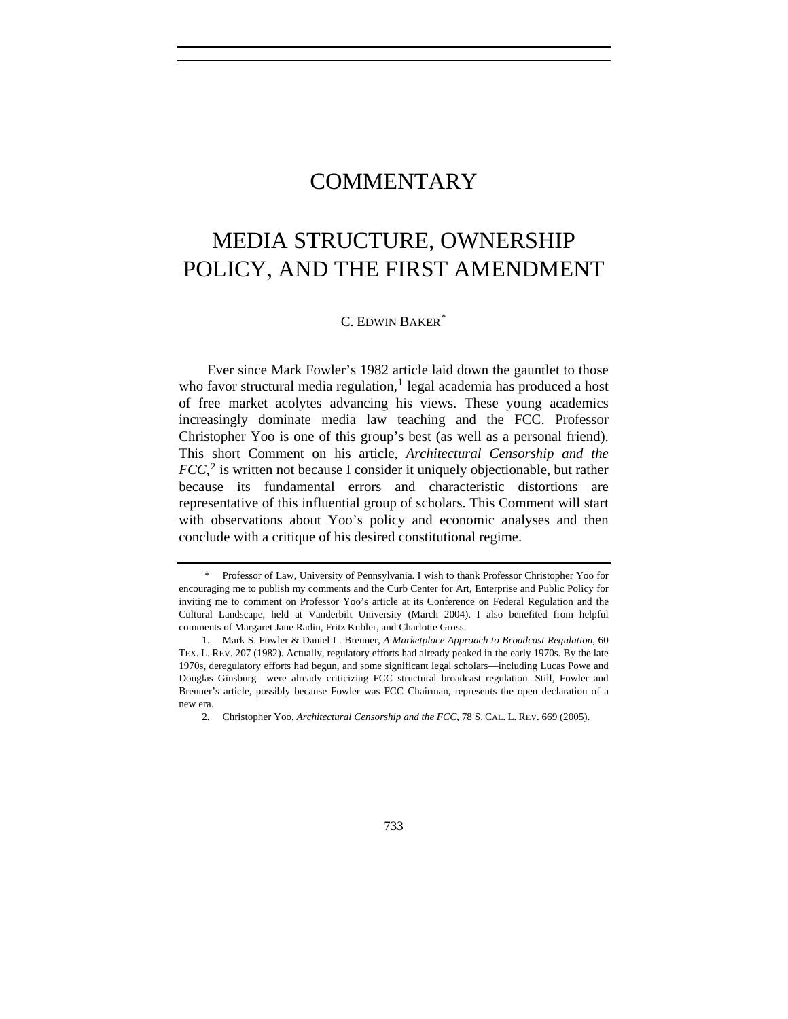# COMMENTARY

# MEDIA STRUCTURE, OWNERSHIP POLICY, AND THE FIRST AMENDMENT

C. EDWIN BAKER<sup>[\\*](#page-0-0)</sup>

Ever since Mark Fowler's 1982 article laid down the gauntlet to those who favor structural media regulation, $<sup>1</sup>$  $<sup>1</sup>$  $<sup>1</sup>$  legal academia has produced a host</sup> of free market acolytes advancing his views. These young academics increasingly dominate media law teaching and the FCC. Professor Christopher Yoo is one of this group's best (as well as a personal friend). This short Comment on his article, *Architectural Censorship and the FCC*<sup>[2](#page-0-2)</sup> is written not because I consider it uniquely objectionable, but rather because its fundamental errors and characteristic distortions are representative of this influential group of scholars. This Comment will start with observations about Yoo's policy and economic analyses and then conclude with a critique of his desired constitutional regime.

<span id="page-0-0"></span> <sup>\*</sup> Professor of Law, University of Pennsylvania. I wish to thank Professor Christopher Yoo for encouraging me to publish my comments and the Curb Center for Art, Enterprise and Public Policy for inviting me to comment on Professor Yoo's article at its Conference on Federal Regulation and the Cultural Landscape, held at Vanderbilt University (March 2004). I also benefited from helpful comments of Margaret Jane Radin, Fritz Kubler, and Charlotte Gross.

<span id="page-0-2"></span><span id="page-0-1"></span> <sup>1.</sup> Mark S. Fowler & Daniel L. Brenner, *A Marketplace Approach to Broadcast Regulation*, 60 TEX. L. REV. 207 (1982). Actually, regulatory efforts had already peaked in the early 1970s. By the late 1970s, deregulatory efforts had begun, and some significant legal scholars—including Lucas Powe and Douglas Ginsburg—were already criticizing FCC structural broadcast regulation. Still, Fowler and Brenner's article, possibly because Fowler was FCC Chairman, represents the open declaration of a new era.

 <sup>2.</sup> Christopher Yoo, *Architectural Censorship and the FCC*, 78 S. CAL. L. REV. 669 (2005).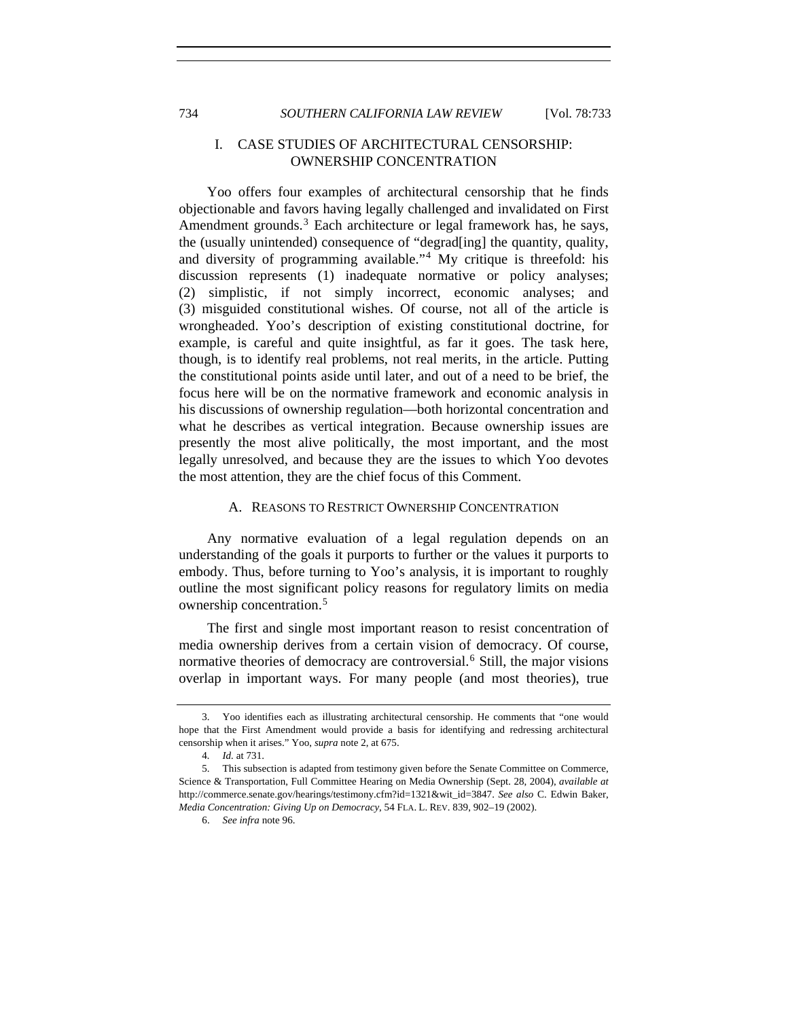# I. CASE STUDIES OF ARCHITECTURAL CENSORSHIP: OWNERSHIP CONCENTRATION

Yoo offers four examples of architectural censorship that he finds objectionable and favors having legally challenged and invalidated on First Amendment grounds. $3$  Each architecture or legal framework has, he says, the (usually unintended) consequence of "degrad[ing] the quantity, quality, and diversity of programming available."[4](#page-1-1) My critique is threefold: his discussion represents (1) inadequate normative or policy analyses; (2) simplistic, if not simply incorrect, economic analyses; and (3) misguided constitutional wishes. Of course, not all of the article is wrongheaded. Yoo's description of existing constitutional doctrine, for example, is careful and quite insightful, as far it goes. The task here, though, is to identify real problems, not real merits, in the article. Putting the constitutional points aside until later, and out of a need to be brief, the focus here will be on the normative framework and economic analysis in his discussions of ownership regulation—both horizontal concentration and what he describes as vertical integration. Because ownership issues are presently the most alive politically, the most important, and the most legally unresolved, and because they are the issues to which Yoo devotes the most attention, they are the chief focus of this Comment.

#### A. REASONS TO RESTRICT OWNERSHIP CONCENTRATION

Any normative evaluation of a legal regulation depends on an understanding of the goals it purports to further or the values it purports to embody. Thus, before turning to Yoo's analysis, it is important to roughly outline the most significant policy reasons for regulatory limits on media ownership concentration.<sup>[5](#page-1-2)</sup>

The first and single most important reason to resist concentration of media ownership derives from a certain vision of democracy. Of course, normative theories of democracy are controversial.<sup>[6](#page-1-3)</sup> Still, the major visions overlap in important ways. For many people (and most theories), true

<span id="page-1-0"></span> <sup>3.</sup> Yoo identifies each as illustrating architectural censorship. He comments that "one would hope that the First Amendment would provide a basis for identifying and redressing architectural censorship when it arises." Yoo, *supra* note 2, at 675.

<sup>4</sup>*. Id.* at 731.

<span id="page-1-3"></span><span id="page-1-2"></span><span id="page-1-1"></span> <sup>5.</sup> This subsection is adapted from testimony given before the Senate Committee on Commerce, Science & Transportation, Full Committee Hearing on Media Ownership (Sept. 28, 2004), *available at*  http://commerce.senate.gov/hearings/testimony.cfm?id=1321&wit\_id=3847. *See also* C. Edwin Baker, *Media Concentration: Giving Up on Democracy*, 54 FLA. L. REV. 839, 902–19 (2002).

 <sup>6.</sup> *See infra* note 96.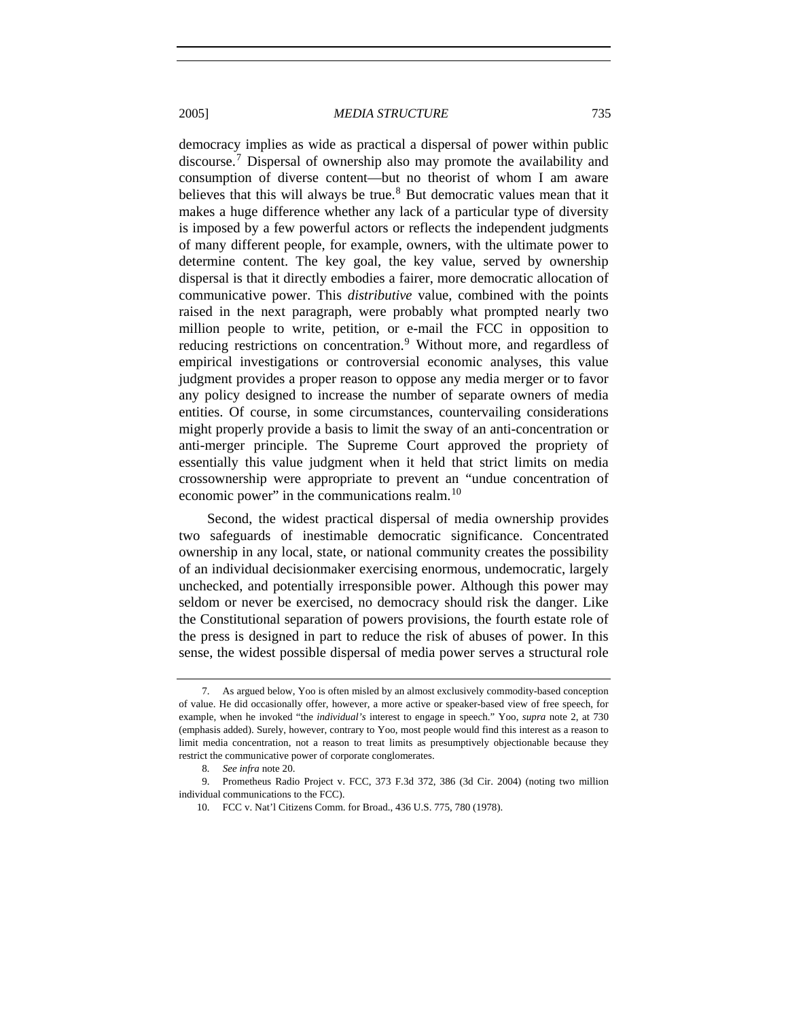democracy implies as wide as practical a dispersal of power within public discourse.[7](#page-2-0) Dispersal of ownership also may promote the availability and consumption of diverse content—but no theorist of whom I am aware believes that this will always be true.<sup>[8](#page-2-1)</sup> But democratic values mean that it makes a huge difference whether any lack of a particular type of diversity is imposed by a few powerful actors or reflects the independent judgments of many different people, for example, owners, with the ultimate power to determine content. The key goal, the key value, served by ownership dispersal is that it directly embodies a fairer, more democratic allocation of communicative power. This *distributive* value, combined with the points raised in the next paragraph, were probably what prompted nearly two million people to write, petition, or e-mail the FCC in opposition to reducing restrictions on concentration.<sup>[9](#page-2-2)</sup> Without more, and regardless of empirical investigations or controversial economic analyses, this value judgment provides a proper reason to oppose any media merger or to favor any policy designed to increase the number of separate owners of media entities. Of course, in some circumstances, countervailing considerations might properly provide a basis to limit the sway of an anti-concentration or anti-merger principle. The Supreme Court approved the propriety of essentially this value judgment when it held that strict limits on media crossownership were appropriate to prevent an "undue concentration of economic power" in the communications realm.<sup>[10](#page-2-3)</sup>

Second, the widest practical dispersal of media ownership provides two safeguards of inestimable democratic significance. Concentrated ownership in any local, state, or national community creates the possibility of an individual decisionmaker exercising enormous, undemocratic, largely unchecked, and potentially irresponsible power. Although this power may seldom or never be exercised, no democracy should risk the danger. Like the Constitutional separation of powers provisions, the fourth estate role of the press is designed in part to reduce the risk of abuses of power. In this sense, the widest possible dispersal of media power serves a structural role

<span id="page-2-0"></span> <sup>7.</sup> As argued below, Yoo is often misled by an almost exclusively commodity-based conception of value. He did occasionally offer, however, a more active or speaker-based view of free speech, for example, when he invoked "the *individual's* interest to engage in speech." Yoo, *supra* note 2, at 730 (emphasis added). Surely, however, contrary to Yoo, most people would find this interest as a reason to limit media concentration, not a reason to treat limits as presumptively objectionable because they restrict the communicative power of corporate conglomerates.

<sup>8</sup>*. See infra* note 20.

<span id="page-2-3"></span><span id="page-2-2"></span><span id="page-2-1"></span> <sup>9.</sup> Prometheus Radio Project v. FCC, 373 F.3d 372, 386 (3d Cir. 2004) (noting two million individual communications to the FCC).

 <sup>10.</sup> FCC v. Nat'l Citizens Comm. for Broad., 436 U.S. 775, 780 (1978).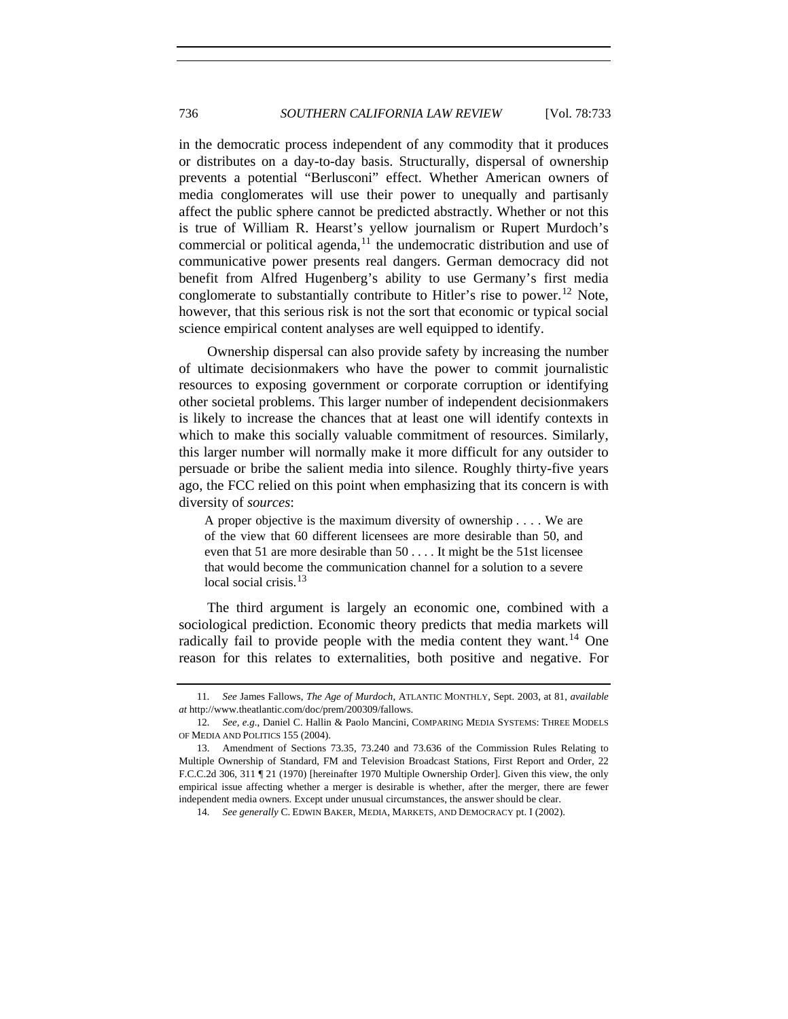in the democratic process independent of any commodity that it produces or distributes on a day-to-day basis. Structurally, dispersal of ownership prevents a potential "Berlusconi" effect. Whether American owners of media conglomerates will use their power to unequally and partisanly affect the public sphere cannot be predicted abstractly. Whether or not this is true of William R. Hearst's yellow journalism or Rupert Murdoch's commercial or political agenda,<sup>[11](#page-3-0)</sup> the undemocratic distribution and use of communicative power presents real dangers. German democracy did not benefit from Alfred Hugenberg's ability to use Germany's first media conglomerate to substantially contribute to Hitler's rise to power.<sup>[12](#page-3-1)</sup> Note, however, that this serious risk is not the sort that economic or typical social science empirical content analyses are well equipped to identify.

Ownership dispersal can also provide safety by increasing the number of ultimate decisionmakers who have the power to commit journalistic resources to exposing government or corporate corruption or identifying other societal problems. This larger number of independent decisionmakers is likely to increase the chances that at least one will identify contexts in which to make this socially valuable commitment of resources. Similarly, this larger number will normally make it more difficult for any outsider to persuade or bribe the salient media into silence. Roughly thirty-five years ago, the FCC relied on this point when emphasizing that its concern is with diversity of *sources*:

A proper objective is the maximum diversity of ownership . . . . We are of the view that 60 different licensees are more desirable than 50, and even that 51 are more desirable than 50 . . . . It might be the 51st licensee that would become the communication channel for a solution to a severe local social crisis.<sup>[13](#page-3-2)</sup>

The third argument is largely an economic one, combined with a sociological prediction. Economic theory predicts that media markets will radically fail to provide people with the media content they want.<sup>[14](#page-3-3)</sup> One reason for this relates to externalities, both positive and negative. For

<span id="page-3-0"></span><sup>11</sup>*. See* James Fallows, *The Age of Murdoch*, ATLANTIC MONTHLY, Sept. 2003, at 81, *available at* http://www.theatlantic.com/doc/prem/200309/fallows.

<span id="page-3-1"></span><sup>12</sup>*. See, e.g.*, Daniel C. Hallin & Paolo Mancini, COMPARING MEDIA SYSTEMS: THREE MODELS OF MEDIA AND POLITICS 155 (2004).

<span id="page-3-3"></span><span id="page-3-2"></span> <sup>13.</sup> Amendment of Sections 73.35, 73.240 and 73.636 of the Commission Rules Relating to Multiple Ownership of Standard, FM and Television Broadcast Stations, First Report and Order, 22 F.C.C.2d 306, 311 ¶ 21 (1970) [hereinafter 1970 Multiple Ownership Order]. Given this view, the only empirical issue affecting whether a merger is desirable is whether, after the merger, there are fewer independent media owners. Except under unusual circumstances, the answer should be clear.

<sup>14</sup>*. See generally* C. EDWIN BAKER, MEDIA, MARKETS, AND DEMOCRACY pt. I (2002).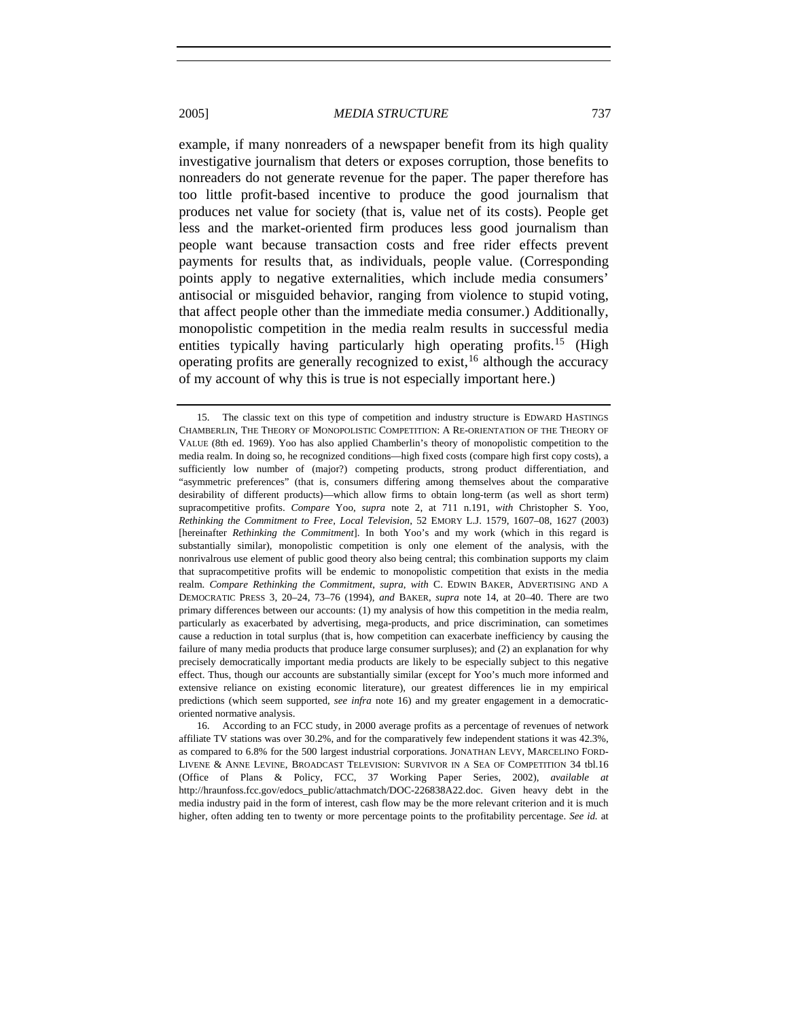example, if many nonreaders of a newspaper benefit from its high quality investigative journalism that deters or exposes corruption, those benefits to nonreaders do not generate revenue for the paper. The paper therefore has too little profit-based incentive to produce the good journalism that produces net value for society (that is, value net of its costs). People get less and the market-oriented firm produces less good journalism than people want because transaction costs and free rider effects prevent payments for results that, as individuals, people value. (Corresponding points apply to negative externalities, which include media consumers' antisocial or misguided behavior, ranging from violence to stupid voting, that affect people other than the immediate media consumer.) Additionally, monopolistic competition in the media realm results in successful media entities typically having particularly high operating profits.<sup>[15](#page-4-0)</sup> (High operating profits are generally recognized to exist,  $^{16}$  $^{16}$  $^{16}$  although the accuracy of my account of why this is true is not especially important here.)

<span id="page-4-0"></span> <sup>15.</sup> The classic text on this type of competition and industry structure is EDWARD HASTINGS CHAMBERLIN, THE THEORY OF MONOPOLISTIC COMPETITION: A RE-ORIENTATION OF THE THEORY OF VALUE (8th ed. 1969). Yoo has also applied Chamberlin's theory of monopolistic competition to the media realm. In doing so, he recognized conditions—high fixed costs (compare high first copy costs), a sufficiently low number of (major?) competing products, strong product differentiation, and "asymmetric preferences" (that is, consumers differing among themselves about the comparative desirability of different products)—which allow firms to obtain long-term (as well as short term) supracompetitive profits. *Compare* Yoo, *supra* note 2, at 711 n.191, *with* Christopher S. Yoo, *Rethinking the Commitment to Free, Local Television*, 52 EMORY L.J. 1579, 1607–08, 1627 (2003) [hereinafter *Rethinking the Commitment*]. In both Yoo's and my work (which in this regard is substantially similar), monopolistic competition is only one element of the analysis, with the nonrivalrous use element of public good theory also being central; this combination supports my claim that supracompetitive profits will be endemic to monopolistic competition that exists in the media realm. *Compare Rethinking the Commitment*, *supra*, *with* C. EDWIN BAKER, ADVERTISING AND A DEMOCRATIC PRESS 3, 20–24, 73–76 (1994), *and* BAKER, *supra* note 14, at 20–40. There are two primary differences between our accounts: (1) my analysis of how this competition in the media realm, particularly as exacerbated by advertising, mega-products, and price discrimination, can sometimes cause a reduction in total surplus (that is, how competition can exacerbate inefficiency by causing the failure of many media products that produce large consumer surpluses); and (2) an explanation for why precisely democratically important media products are likely to be especially subject to this negative effect. Thus, though our accounts are substantially similar (except for Yoo's much more informed and extensive reliance on existing economic literature), our greatest differences lie in my empirical predictions (which seem supported, *see infra* note 16) and my greater engagement in a democraticoriented normative analysis.

<span id="page-4-1"></span> <sup>16.</sup> According to an FCC study, in 2000 average profits as a percentage of revenues of network affiliate TV stations was over 30.2%, and for the comparatively few independent stations it was 42.3%, as compared to 6.8% for the 500 largest industrial corporations. JONATHAN LEVY, MARCELINO FORD-LIVENE & ANNE LEVINE, BROADCAST TELEVISION: SURVIVOR IN A SEA OF COMPETITION 34 tbl.16 (Office of Plans & Policy, FCC, 37 Working Paper Series, 2002), *available at*  http://hraunfoss.fcc.gov/edocs\_public/attachmatch/DOC-226838A22.doc. Given heavy debt in the media industry paid in the form of interest, cash flow may be the more relevant criterion and it is much higher, often adding ten to twenty or more percentage points to the profitability percentage. *See id.* at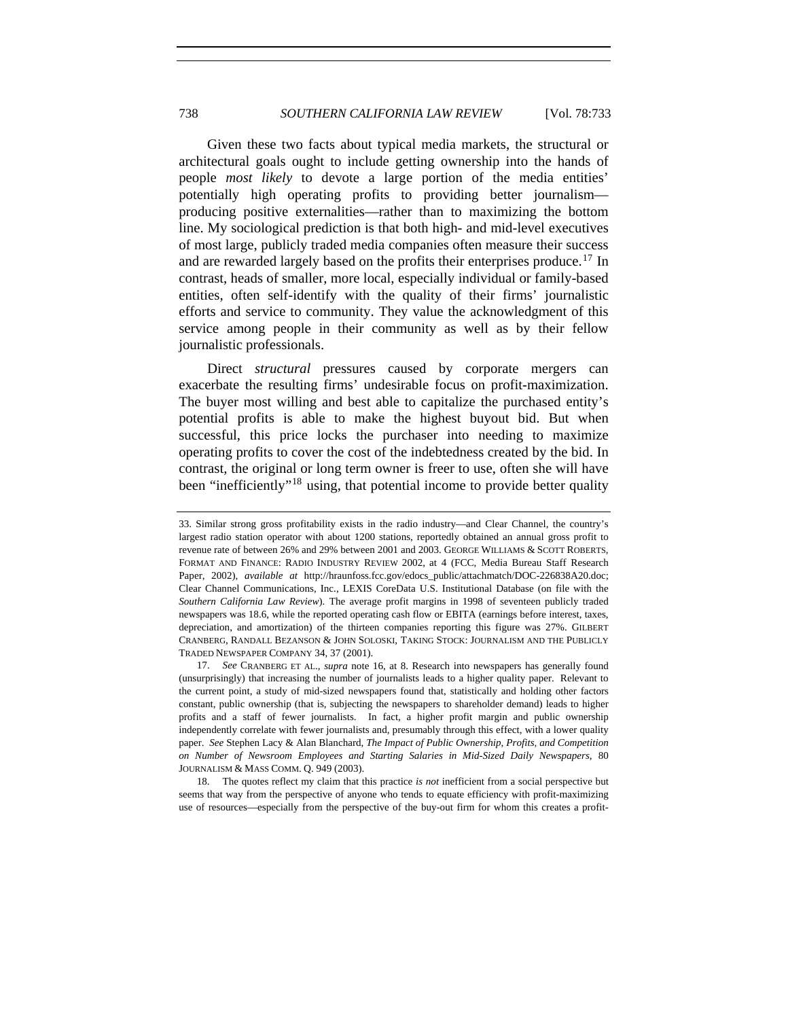Given these two facts about typical media markets, the structural or architectural goals ought to include getting ownership into the hands of people *most likely* to devote a large portion of the media entities' potentially high operating profits to providing better journalism producing positive externalities—rather than to maximizing the bottom line. My sociological prediction is that both high- and mid-level executives of most large, publicly traded media companies often measure their success and are rewarded largely based on the profits their enterprises produce.<sup>[17](#page-5-0)</sup> In contrast, heads of smaller, more local, especially individual or family-based entities, often self-identify with the quality of their firms' journalistic efforts and service to community. They value the acknowledgment of this service among people in their community as well as by their fellow journalistic professionals.

Direct *structural* pressures caused by corporate mergers can exacerbate the resulting firms' undesirable focus on profit-maximization. The buyer most willing and best able to capitalize the purchased entity's potential profits is able to make the highest buyout bid. But when successful, this price locks the purchaser into needing to maximize operating profits to cover the cost of the indebtedness created by the bid. In contrast, the original or long term owner is freer to use, often she will have been "inefficiently"<sup>[18](#page-5-1)</sup> using, that potential income to provide better quality

<span id="page-5-1"></span> 18. The quotes reflect my claim that this practice *is not* inefficient from a social perspective but seems that way from the perspective of anyone who tends to equate efficiency with profit-maximizing use of resources—especially from the perspective of the buy-out firm for whom this creates a profit-

<sup>33.</sup> Similar strong gross profitability exists in the radio industry—and Clear Channel, the country's largest radio station operator with about 1200 stations, reportedly obtained an annual gross profit to revenue rate of between 26% and 29% between 2001 and 2003. GEORGE WILLIAMS & SCOTT ROBERTS, FORMAT AND FINANCE: RADIO INDUSTRY REVIEW 2002, at 4 (FCC, Media Bureau Staff Research Paper, 2002), *available at* http://hraunfoss.fcc.gov/edocs\_public/attachmatch/DOC-226838A20.doc; Clear Channel Communications, Inc., LEXIS CoreData U.S. Institutional Database (on file with the *Southern California Law Review*). The average profit margins in 1998 of seventeen publicly traded newspapers was 18.6, while the reported operating cash flow or EBITA (earnings before interest, taxes, depreciation, and amortization) of the thirteen companies reporting this figure was 27%. GILBERT CRANBERG, RANDALL BEZANSON & JOHN SOLOSKI, TAKING STOCK: JOURNALISM AND THE PUBLICLY TRADED NEWSPAPER COMPANY 34, 37 (2001).

<span id="page-5-0"></span><sup>17.</sup> *See* CRANBERG ET AL., *supra* note 16, at 8. Research into newspapers has generally found (unsurprisingly) that increasing the number of journalists leads to a higher quality paper. Relevant to the current point, a study of mid-sized newspapers found that, statistically and holding other factors constant, public ownership (that is, subjecting the newspapers to shareholder demand) leads to higher profits and a staff of fewer journalists. In fact, a higher profit margin and public ownership independently correlate with fewer journalists and, presumably through this effect, with a lower quality paper. *See* Stephen Lacy & Alan Blanchard, *The Impact of Public Ownership, Profits, and Competition on Number of Newsroom Employees and Starting Salaries in Mid-Sized Daily Newspapers*, 80 JOURNALISM & MASS COMM. Q. 949 (2003).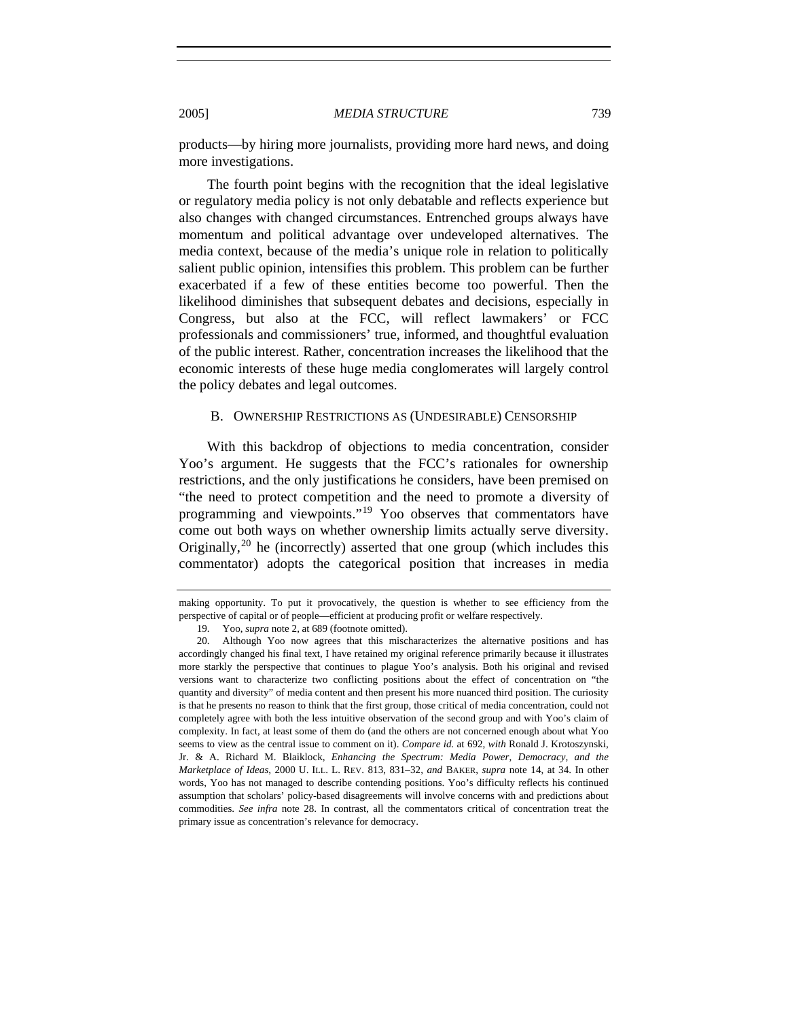products—by hiring more journalists, providing more hard news, and doing more investigations.

The fourth point begins with the recognition that the ideal legislative or regulatory media policy is not only debatable and reflects experience but also changes with changed circumstances. Entrenched groups always have momentum and political advantage over undeveloped alternatives. The media context, because of the media's unique role in relation to politically salient public opinion, intensifies this problem. This problem can be further exacerbated if a few of these entities become too powerful. Then the likelihood diminishes that subsequent debates and decisions, especially in Congress, but also at the FCC, will reflect lawmakers' or FCC professionals and commissioners' true, informed, and thoughtful evaluation of the public interest. Rather, concentration increases the likelihood that the economic interests of these huge media conglomerates will largely control the policy debates and legal outcomes.

#### B. OWNERSHIP RESTRICTIONS AS (UNDESIRABLE) CENSORSHIP

With this backdrop of objections to media concentration, consider Yoo's argument. He suggests that the FCC's rationales for ownership restrictions, and the only justifications he considers, have been premised on "the need to protect competition and the need to promote a diversity of programming and viewpoints."[19](#page-6-0) Yoo observes that commentators have come out both ways on whether ownership limits actually serve diversity. Originally,<sup>[20](#page-6-1)</sup> he (incorrectly) asserted that one group (which includes this commentator) adopts the categorical position that increases in media

making opportunity. To put it provocatively, the question is whether to see efficiency from the perspective of capital or of people—efficient at producing profit or welfare respectively.

 <sup>19.</sup> Yoo, *supra* note 2, at 689 (footnote omitted).

<span id="page-6-1"></span><span id="page-6-0"></span> <sup>20.</sup> Although Yoo now agrees that this mischaracterizes the alternative positions and has accordingly changed his final text, I have retained my original reference primarily because it illustrates more starkly the perspective that continues to plague Yoo's analysis. Both his original and revised versions want to characterize two conflicting positions about the effect of concentration on "the quantity and diversity" of media content and then present his more nuanced third position. The curiosity is that he presents no reason to think that the first group, those critical of media concentration, could not completely agree with both the less intuitive observation of the second group and with Yoo's claim of complexity. In fact, at least some of them do (and the others are not concerned enough about what Yoo seems to view as the central issue to comment on it). *Compare id.* at 692, *with* Ronald J. Krotoszynski, Jr. & A. Richard M. Blaiklock, *Enhancing the Spectrum: Media Power, Democracy, and the Marketplace of Ideas*, 2000 U. ILL. L. REV. 813, 831–32, *and* BAKER, *supra* note 14, at 34. In other words, Yoo has not managed to describe contending positions. Yoo's difficulty reflects his continued assumption that scholars' policy-based disagreements will involve concerns with and predictions about commodities. *See infra* note 28. In contrast, all the commentators critical of concentration treat the primary issue as concentration's relevance for democracy.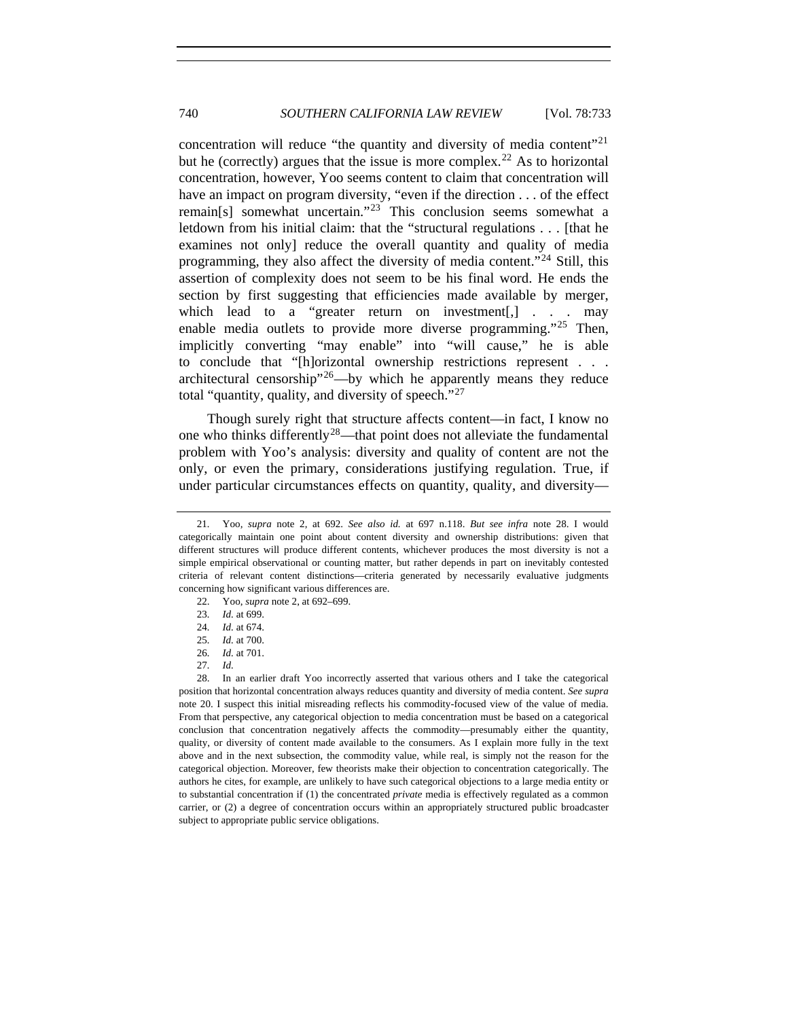concentration will reduce "the quantity and diversity of media content"<sup>[21](#page-7-0)</sup> but he (correctly) argues that the issue is more complex.<sup>[22](#page-7-1)</sup> As to horizontal concentration, however, Yoo seems content to claim that concentration will have an impact on program diversity, "even if the direction . . . of the effect remain[s] somewhat uncertain."<sup>[23](#page-7-2)</sup> This conclusion seems somewhat a letdown from his initial claim: that the "structural regulations . . . [that he examines not only] reduce the overall quantity and quality of media programming, they also affect the diversity of media content."[24](#page-7-3) Still, this assertion of complexity does not seem to be his final word. He ends the section by first suggesting that efficiencies made available by merger, which lead to a "greater return on investment[,] . . . may enable media outlets to provide more diverse programming."<sup>[25](#page-7-4)</sup> Then, implicitly converting "may enable" into "will cause," he is able to conclude that "[h]orizontal ownership restrictions represent . . . architectural censorship<sup> $26$ </sup>—by which he apparently means they reduce total "quantity, quality, and diversity of speech."<sup>[27](#page-7-6)</sup>

Though surely right that structure affects content—in fact, I know no one who thinks differently<sup>[28](#page-7-7)</sup>—that point does not alleviate the fundamental problem with Yoo's analysis: diversity and quality of content are not the only, or even the primary, considerations justifying regulation. True, if under particular circumstances effects on quantity, quality, and diversity—

<span id="page-7-1"></span><span id="page-7-0"></span><sup>21</sup>*.* Yoo*, supra* note 2, at 692. *See also id.* at 697 n.118. *But see infra* note 28. I would categorically maintain one point about content diversity and ownership distributions: given that different structures will produce different contents, whichever produces the most diversity is not a simple empirical observational or counting matter, but rather depends in part on inevitably contested criteria of relevant content distinctions—criteria generated by necessarily evaluative judgments concerning how significant various differences are.

 <sup>22.</sup> Yoo, *supra* note 2, at 692–699.

<sup>23</sup>*. Id.* at 699.

<sup>24</sup>*. Id.* at 674.

<sup>25</sup>*. Id.* at 700.

<sup>26</sup>*. Id.* at 701.

<sup>27</sup>*. Id.*

<span id="page-7-7"></span><span id="page-7-6"></span><span id="page-7-5"></span><span id="page-7-4"></span><span id="page-7-3"></span><span id="page-7-2"></span> <sup>28.</sup> In an earlier draft Yoo incorrectly asserted that various others and I take the categorical position that horizontal concentration always reduces quantity and diversity of media content. *See supra* note 20. I suspect this initial misreading reflects his commodity-focused view of the value of media. From that perspective, any categorical objection to media concentration must be based on a categorical conclusion that concentration negatively affects the commodity—presumably either the quantity, quality, or diversity of content made available to the consumers. As I explain more fully in the text above and in the next subsection, the commodity value, while real, is simply not the reason for the categorical objection. Moreover, few theorists make their objection to concentration categorically. The authors he cites, for example, are unlikely to have such categorical objections to a large media entity or to substantial concentration if (1) the concentrated *private* media is effectively regulated as a common carrier, or (2) a degree of concentration occurs within an appropriately structured public broadcaster subject to appropriate public service obligations.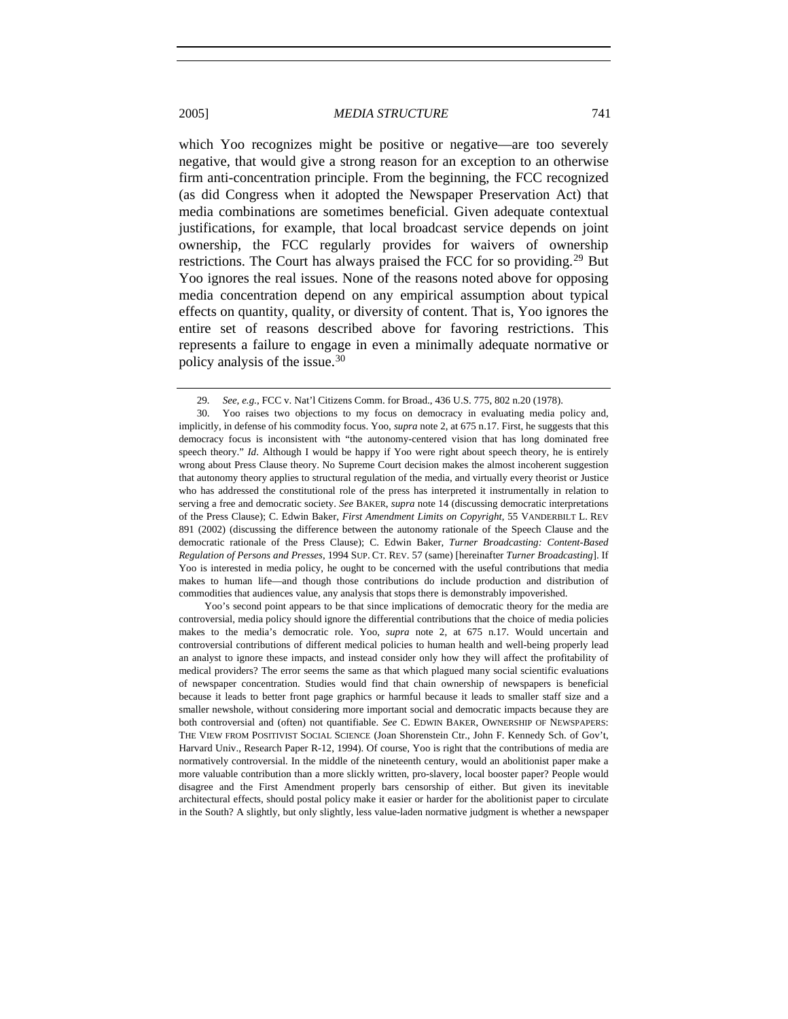which Yoo recognizes might be positive or negative—are too severely negative, that would give a strong reason for an exception to an otherwise firm anti-concentration principle. From the beginning, the FCC recognized (as did Congress when it adopted the Newspaper Preservation Act) that media combinations are sometimes beneficial. Given adequate contextual justifications, for example, that local broadcast service depends on joint ownership, the FCC regularly provides for waivers of ownership restrictions. The Court has always praised the FCC for so providing.<sup>[29](#page-8-0)</sup> But Yoo ignores the real issues. None of the reasons noted above for opposing media concentration depend on any empirical assumption about typical effects on quantity, quality, or diversity of content. That is, Yoo ignores the entire set of reasons described above for favoring restrictions. This represents a failure to engage in even a minimally adequate normative or policy analysis of the issue.[30](#page-8-1)

Yoo's second point appears to be that since implications of democratic theory for the media are controversial, media policy should ignore the differential contributions that the choice of media policies makes to the media's democratic role. Yoo, *supra* note 2, at 675 n.17. Would uncertain and controversial contributions of different medical policies to human health and well-being properly lead an analyst to ignore these impacts, and instead consider only how they will affect the profitability of medical providers? The error seems the same as that which plagued many social scientific evaluations of newspaper concentration. Studies would find that chain ownership of newspapers is beneficial because it leads to better front page graphics or harmful because it leads to smaller staff size and a smaller newshole, without considering more important social and democratic impacts because they are both controversial and (often) not quantifiable. *See* C. EDWIN BAKER, OWNERSHIP OF NEWSPAPERS: THE VIEW FROM POSITIVIST SOCIAL SCIENCE (Joan Shorenstein Ctr., John F. Kennedy Sch. of Gov't, Harvard Univ., Research Paper R-12, 1994). Of course, Yoo is right that the contributions of media are normatively controversial. In the middle of the nineteenth century, would an abolitionist paper make a more valuable contribution than a more slickly written, pro-slavery, local booster paper? People would disagree and the First Amendment properly bars censorship of either. But given its inevitable architectural effects, should postal policy make it easier or harder for the abolitionist paper to circulate in the South? A slightly, but only slightly, less value-laden normative judgment is whether a newspaper

<sup>29</sup>*. See, e.g.*, FCC v. Nat'l Citizens Comm. for Broad., 436 U.S. 775, 802 n.20 (1978).

<span id="page-8-1"></span><span id="page-8-0"></span> <sup>30.</sup> Yoo raises two objections to my focus on democracy in evaluating media policy and, implicitly, in defense of his commodity focus. Yoo, *supra* note 2, at 675 n.17. First, he suggests that this democracy focus is inconsistent with "the autonomy-centered vision that has long dominated free speech theory." *Id*. Although I would be happy if Yoo were right about speech theory, he is entirely wrong about Press Clause theory. No Supreme Court decision makes the almost incoherent suggestion that autonomy theory applies to structural regulation of the media, and virtually every theorist or Justice who has addressed the constitutional role of the press has interpreted it instrumentally in relation to serving a free and democratic society. *See* BAKER, *supra* note 14 (discussing democratic interpretations of the Press Clause); C. Edwin Baker, *First Amendment Limits on Copyright*, 55 VANDERBILT L. REV 891 (2002) (discussing the difference between the autonomy rationale of the Speech Clause and the democratic rationale of the Press Clause); C. Edwin Baker*, Turner Broadcasting: Content-Based Regulation of Persons and Presses*, 1994 SUP. CT. REV. 57 (same) [hereinafter *Turner Broadcasting*]. If Yoo is interested in media policy, he ought to be concerned with the useful contributions that media makes to human life—and though those contributions do include production and distribution of commodities that audiences value, any analysis that stops there is demonstrably impoverished.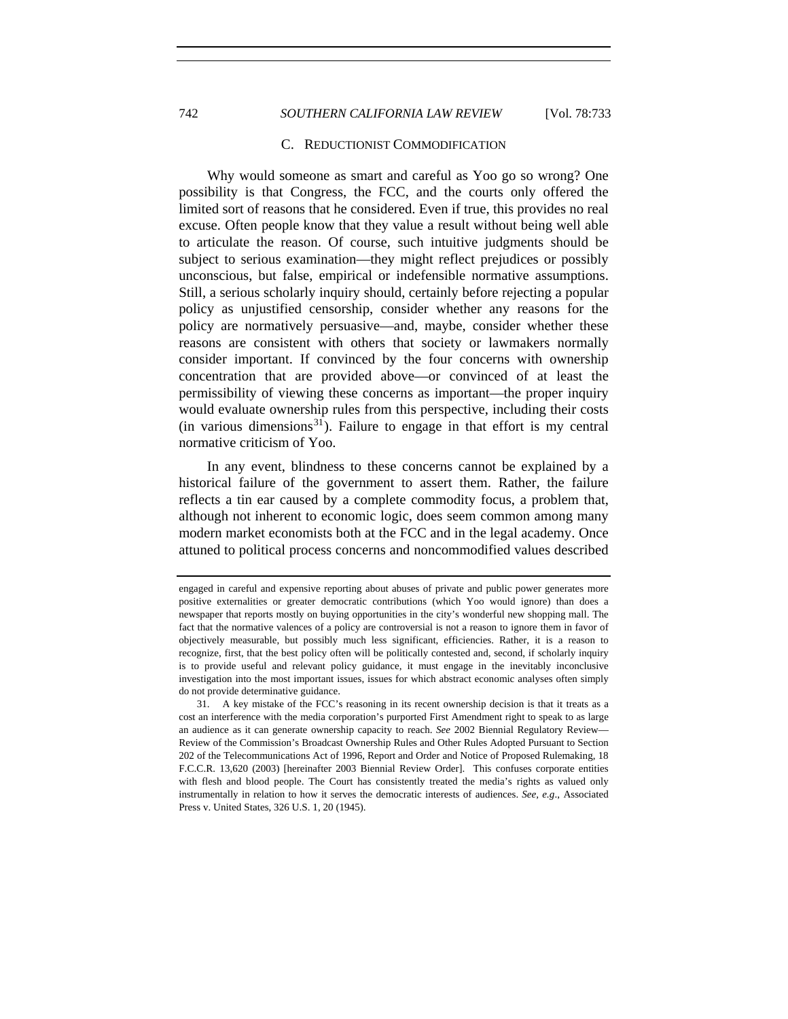# 742 *SOUTHERN CALIFORNIA LAW REVIEW* [Vol. 78:733

#### C. REDUCTIONIST COMMODIFICATION

Why would someone as smart and careful as Yoo go so wrong? One possibility is that Congress, the FCC, and the courts only offered the limited sort of reasons that he considered. Even if true, this provides no real excuse. Often people know that they value a result without being well able to articulate the reason. Of course, such intuitive judgments should be subject to serious examination—they might reflect prejudices or possibly unconscious, but false, empirical or indefensible normative assumptions. Still, a serious scholarly inquiry should, certainly before rejecting a popular policy as unjustified censorship, consider whether any reasons for the policy are normatively persuasive—and, maybe, consider whether these reasons are consistent with others that society or lawmakers normally consider important. If convinced by the four concerns with ownership concentration that are provided above—or convinced of at least the permissibility of viewing these concerns as important—the proper inquiry would evaluate ownership rules from this perspective, including their costs (in various dimensions<sup>[31](#page-9-0)</sup>). Failure to engage in that effort is my central normative criticism of Yoo.

In any event, blindness to these concerns cannot be explained by a historical failure of the government to assert them. Rather, the failure reflects a tin ear caused by a complete commodity focus, a problem that, although not inherent to economic logic, does seem common among many modern market economists both at the FCC and in the legal academy. Once attuned to political process concerns and noncommodified values described

engaged in careful and expensive reporting about abuses of private and public power generates more positive externalities or greater democratic contributions (which Yoo would ignore) than does a newspaper that reports mostly on buying opportunities in the city's wonderful new shopping mall. The fact that the normative valences of a policy are controversial is not a reason to ignore them in favor of objectively measurable, but possibly much less significant, efficiencies. Rather, it is a reason to recognize, first, that the best policy often will be politically contested and, second, if scholarly inquiry is to provide useful and relevant policy guidance, it must engage in the inevitably inconclusive investigation into the most important issues, issues for which abstract economic analyses often simply do not provide determinative guidance.

<span id="page-9-0"></span> <sup>31.</sup> A key mistake of the FCC's reasoning in its recent ownership decision is that it treats as a cost an interference with the media corporation's purported First Amendment right to speak to as large an audience as it can generate ownership capacity to reach. *See* 2002 Biennial Regulatory Review— Review of the Commission's Broadcast Ownership Rules and Other Rules Adopted Pursuant to Section 202 of the Telecommunications Act of 1996, Report and Order and Notice of Proposed Rulemaking, 18 F.C.C.R. 13,620 (2003) [hereinafter 2003 Biennial Review Order]. This confuses corporate entities with flesh and blood people. The Court has consistently treated the media's rights as valued only instrumentally in relation to how it serves the democratic interests of audiences. *See, e.g*., Associated Press v. United States, 326 U.S. 1, 20 (1945).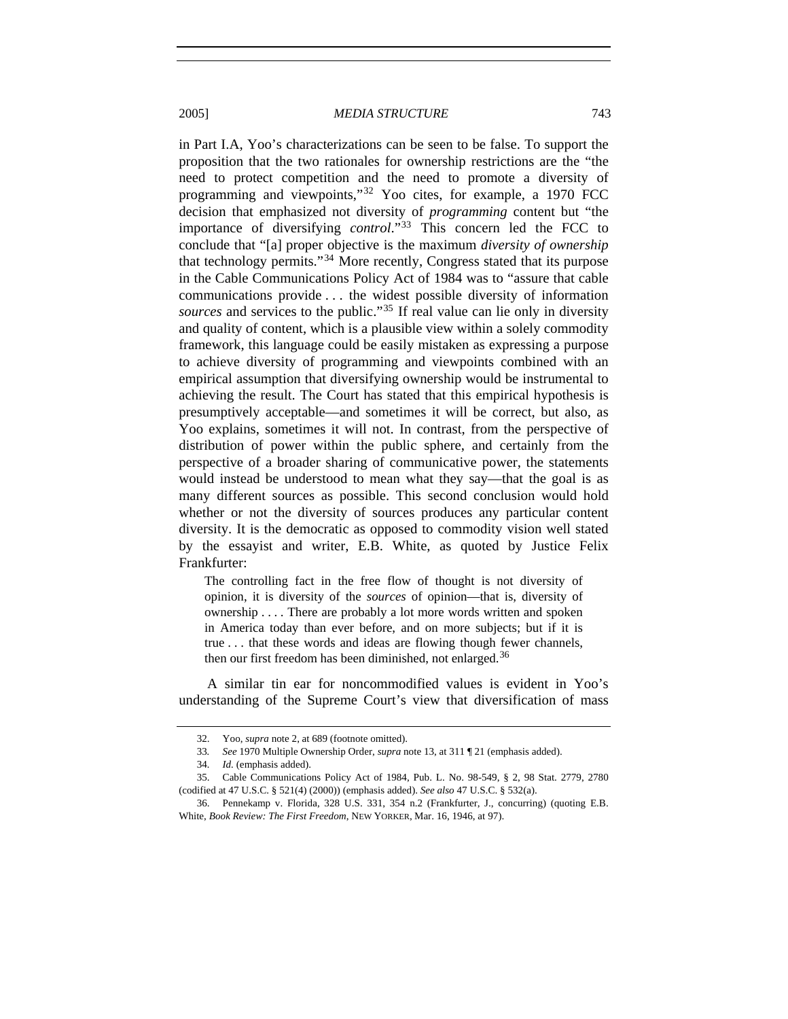in Part I.A, Yoo's characterizations can be seen to be false. To support the proposition that the two rationales for ownership restrictions are the "the need to protect competition and the need to promote a diversity of programming and viewpoints,"[32](#page-10-0) Yoo cites, for example, a 1970 FCC decision that emphasized not diversity of *programming* content but "the importance of diversifying *control*."[33](#page-10-1) This concern led the FCC to conclude that "[a] proper objective is the maximum *diversity of ownership* that technology permits."[34](#page-10-2) More recently, Congress stated that its purpose in the Cable Communications Policy Act of 1984 was to "assure that cable communications provide . . . the widest possible diversity of information *sources* and services to the public."[35](#page-10-3) If real value can lie only in diversity and quality of content, which is a plausible view within a solely commodity framework, this language could be easily mistaken as expressing a purpose to achieve diversity of programming and viewpoints combined with an empirical assumption that diversifying ownership would be instrumental to achieving the result. The Court has stated that this empirical hypothesis is presumptively acceptable—and sometimes it will be correct, but also, as Yoo explains, sometimes it will not. In contrast, from the perspective of distribution of power within the public sphere, and certainly from the perspective of a broader sharing of communicative power, the statements would instead be understood to mean what they say—that the goal is as many different sources as possible. This second conclusion would hold whether or not the diversity of sources produces any particular content diversity. It is the democratic as opposed to commodity vision well stated by the essayist and writer, E.B. White, as quoted by Justice Felix Frankfurter:

The controlling fact in the free flow of thought is not diversity of opinion, it is diversity of the *sources* of opinion—that is, diversity of ownership . . . . There are probably a lot more words written and spoken in America today than ever before, and on more subjects; but if it is true . . . that these words and ideas are flowing though fewer channels, then our first freedom has been diminished, not enlarged.<sup>[36](#page-10-4)</sup>

A similar tin ear for noncommodified values is evident in Yoo's understanding of the Supreme Court's view that diversification of mass

 <sup>32.</sup> Yoo, *supra* note 2, at 689 (footnote omitted).

<sup>33</sup>*. See* 1970 Multiple Ownership Order, *supra* note 13, at 311 ¶ 21 (emphasis added).

<sup>34</sup>*. Id.* (emphasis added).

<span id="page-10-3"></span><span id="page-10-2"></span><span id="page-10-1"></span><span id="page-10-0"></span> <sup>35.</sup> Cable Communications Policy Act of 1984, Pub. L. No. 98-549, § 2, 98 Stat. 2779, 2780 (codified at 47 U.S.C. § 521(4) (2000)) (emphasis added). *See also* 47 U.S.C. § 532(a).

<span id="page-10-4"></span> <sup>36.</sup> Pennekamp v. Florida, 328 U.S. 331, 354 n.2 (Frankfurter, J., concurring) (quoting E.B. White, *Book Review: The First Freedom*, NEW YORKER, Mar. 16, 1946, at 97).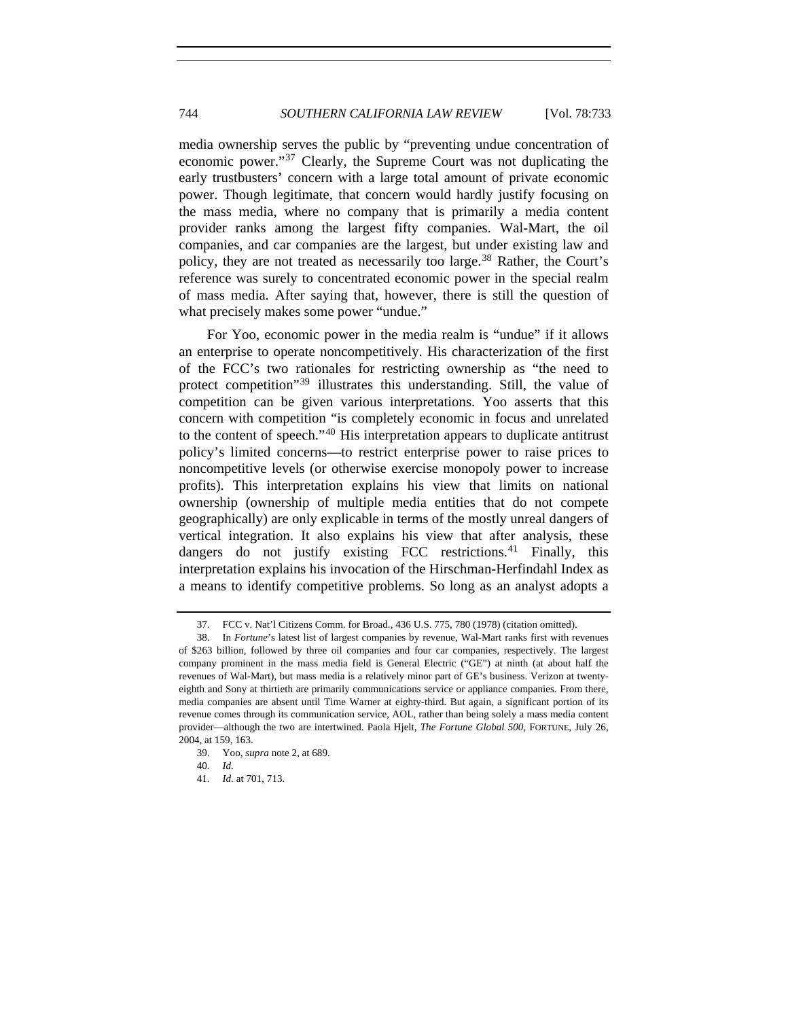media ownership serves the public by "preventing undue concentration of economic power."[37](#page-11-0) Clearly, the Supreme Court was not duplicating the early trustbusters' concern with a large total amount of private economic power. Though legitimate, that concern would hardly justify focusing on the mass media, where no company that is primarily a media content provider ranks among the largest fifty companies. Wal-Mart, the oil companies, and car companies are the largest, but under existing law and policy, they are not treated as necessarily too large.<sup>[38](#page-11-1)</sup> Rather, the Court's reference was surely to concentrated economic power in the special realm of mass media*.* After saying that, however, there is still the question of what precisely makes some power "undue."

For Yoo, economic power in the media realm is "undue" if it allows an enterprise to operate noncompetitively. His characterization of the first of the FCC's two rationales for restricting ownership as "the need to protect competition<sup>"[39](#page-11-2)</sup> illustrates this understanding. Still, the value of competition can be given various interpretations. Yoo asserts that this concern with competition "is completely economic in focus and unrelated to the content of speech."[40](#page-11-3) His interpretation appears to duplicate antitrust policy's limited concerns—to restrict enterprise power to raise prices to noncompetitive levels (or otherwise exercise monopoly power to increase profits). This interpretation explains his view that limits on national ownership (ownership of multiple media entities that do not compete geographically) are only explicable in terms of the mostly unreal dangers of vertical integration. It also explains his view that after analysis, these dangers do not justify existing FCC restrictions.<sup>[41](#page-11-4)</sup> Finally, this interpretation explains his invocation of the Hirschman-Herfindahl Index as a means to identify competitive problems. So long as an analyst adopts a

 <sup>37.</sup> FCC v. Nat'l Citizens Comm. for Broad., 436 U.S. 775, 780 (1978) (citation omitted).

<span id="page-11-1"></span><span id="page-11-0"></span> <sup>38.</sup> In *Fortune*'s latest list of largest companies by revenue, Wal-Mart ranks first with revenues of \$263 billion, followed by three oil companies and four car companies, respectively. The largest company prominent in the mass media field is General Electric ("GE") at ninth (at about half the revenues of Wal-Mart), but mass media is a relatively minor part of GE's business. Verizon at twentyeighth and Sony at thirtieth are primarily communications service or appliance companies. From there, media companies are absent until Time Warner at eighty-third. But again, a significant portion of its revenue comes through its communication service, AOL, rather than being solely a mass media content provider—although the two are intertwined. Paola Hjelt, *The Fortune Global 500*, FORTUNE, July 26, 2004, at 159, 163.

<span id="page-11-4"></span><span id="page-11-3"></span><span id="page-11-2"></span> <sup>39.</sup> Yoo, *supra* note 2, at 689.

<sup>40</sup>*. Id.*

<sup>41</sup>*. Id.* at 701, 713.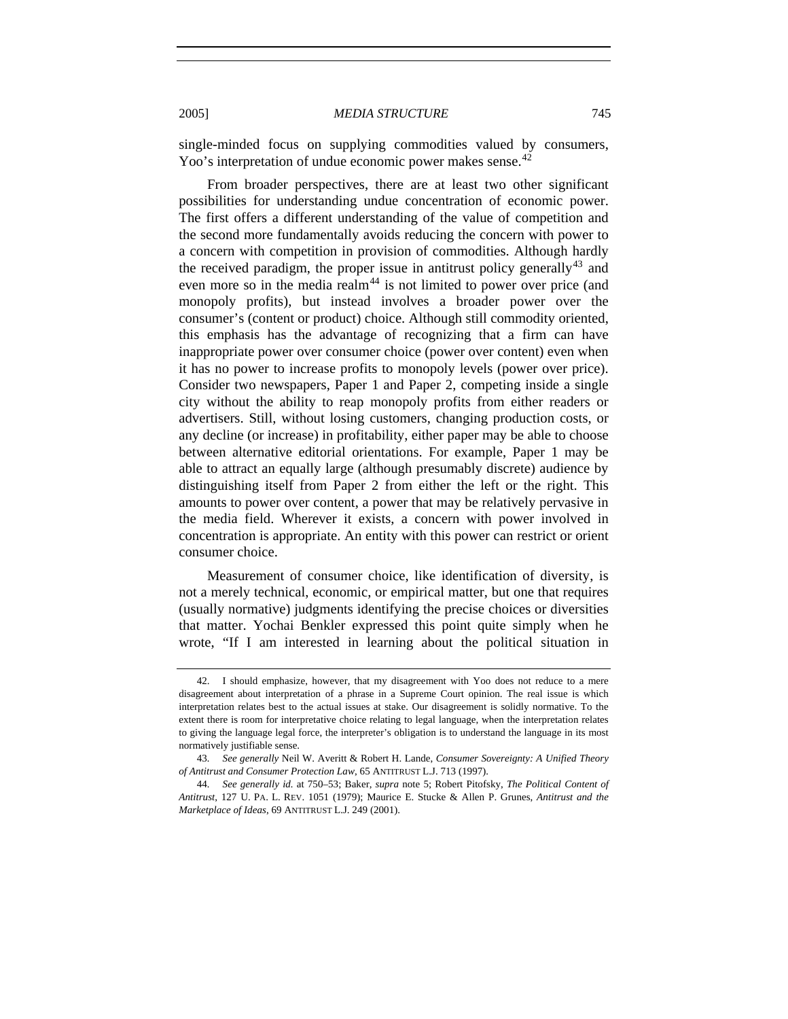single-minded focus on supplying commodities valued by consumers, Yoo's interpretation of undue economic power makes sense.<sup>[42](#page-12-0)</sup>

From broader perspectives, there are at least two other significant possibilities for understanding undue concentration of economic power. The first offers a different understanding of the value of competition and the second more fundamentally avoids reducing the concern with power to a concern with competition in provision of commodities. Although hardly the received paradigm, the proper issue in antitrust policy generally<sup>[43](#page-12-1)</sup> and even more so in the media realm<sup>[44](#page-12-2)</sup> is not limited to power over price (and monopoly profits), but instead involves a broader power over the consumer's (content or product) choice. Although still commodity oriented, this emphasis has the advantage of recognizing that a firm can have inappropriate power over consumer choice (power over content) even when it has no power to increase profits to monopoly levels (power over price). Consider two newspapers, Paper 1 and Paper 2, competing inside a single city without the ability to reap monopoly profits from either readers or advertisers. Still, without losing customers, changing production costs, or any decline (or increase) in profitability, either paper may be able to choose between alternative editorial orientations. For example, Paper 1 may be able to attract an equally large (although presumably discrete) audience by distinguishing itself from Paper 2 from either the left or the right. This amounts to power over content, a power that may be relatively pervasive in the media field. Wherever it exists, a concern with power involved in concentration is appropriate. An entity with this power can restrict or orient consumer choice.

Measurement of consumer choice, like identification of diversity, is not a merely technical, economic, or empirical matter, but one that requires (usually normative) judgments identifying the precise choices or diversities that matter. Yochai Benkler expressed this point quite simply when he wrote, "If I am interested in learning about the political situation in

<span id="page-12-0"></span> <sup>42.</sup> I should emphasize, however, that my disagreement with Yoo does not reduce to a mere disagreement about interpretation of a phrase in a Supreme Court opinion. The real issue is which interpretation relates best to the actual issues at stake. Our disagreement is solidly normative. To the extent there is room for interpretative choice relating to legal language, when the interpretation relates to giving the language legal force, the interpreter's obligation is to understand the language in its most normatively justifiable sense.

<span id="page-12-1"></span><sup>43</sup>*. See generally* Neil W. Averitt & Robert H. Lande, *Consumer Sovereignty: A Unified Theory of Antitrust and Consumer Protection Law*, 65 ANTITRUST L.J. 713 (1997).

<span id="page-12-2"></span><sup>44</sup>*. See generally id.* at 750–53; Baker, *supra* note 5; Robert Pitofsky, *The Political Content of Antitrust*, 127 U. PA. L. REV. 1051 (1979); Maurice E. Stucke & Allen P. Grunes, *Antitrust and the Marketplace of Ideas*, 69 ANTITRUST L.J. 249 (2001).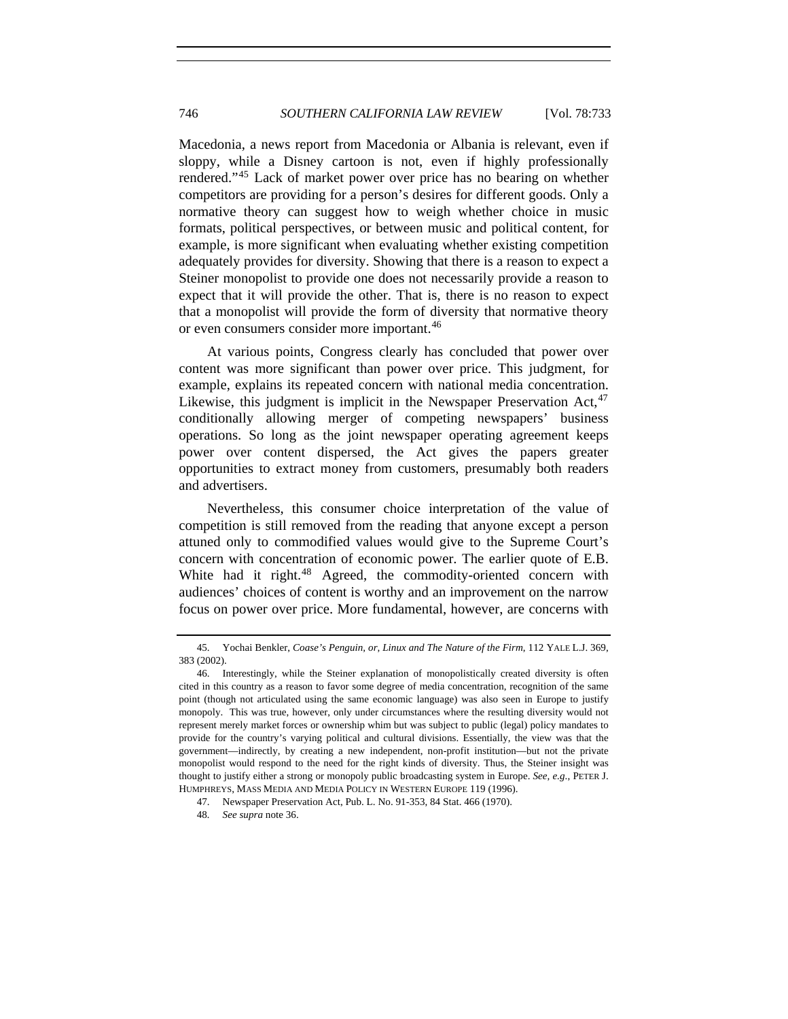Macedonia, a news report from Macedonia or Albania is relevant, even if sloppy, while a Disney cartoon is not, even if highly professionally rendered."[45](#page-13-0) Lack of market power over price has no bearing on whether competitors are providing for a person's desires for different goods. Only a normative theory can suggest how to weigh whether choice in music formats, political perspectives, or between music and political content, for example, is more significant when evaluating whether existing competition adequately provides for diversity. Showing that there is a reason to expect a Steiner monopolist to provide one does not necessarily provide a reason to expect that it will provide the other. That is, there is no reason to expect that a monopolist will provide the form of diversity that normative theory or even consumers consider more important.<sup>[46](#page-13-1)</sup>

At various points, Congress clearly has concluded that power over content was more significant than power over price. This judgment, for example, explains its repeated concern with national media concentration. Likewise, this judgment is implicit in the Newspaper Preservation  $Act,^{47}$  $Act,^{47}$  $Act,^{47}$ conditionally allowing merger of competing newspapers' business operations. So long as the joint newspaper operating agreement keeps power over content dispersed, the Act gives the papers greater opportunities to extract money from customers, presumably both readers and advertisers.

Nevertheless, this consumer choice interpretation of the value of competition is still removed from the reading that anyone except a person attuned only to commodified values would give to the Supreme Court's concern with concentration of economic power. The earlier quote of E.B. White had it right.<sup>[48](#page-13-3)</sup> Agreed, the commodity-oriented concern with audiences' choices of content is worthy and an improvement on the narrow focus on power over price. More fundamental, however, are concerns with

<span id="page-13-0"></span> <sup>45.</sup> Yochai Benkler, *Coase's Penguin, or, Linux and The Nature of the Firm*, 112 YALE L.J. 369, 383 (2002).

<span id="page-13-1"></span> <sup>46.</sup> Interestingly, while the Steiner explanation of monopolistically created diversity is often cited in this country as a reason to favor some degree of media concentration, recognition of the same point (though not articulated using the same economic language) was also seen in Europe to justify monopoly. This was true, however, only under circumstances where the resulting diversity would not represent merely market forces or ownership whim but was subject to public (legal) policy mandates to provide for the country's varying political and cultural divisions. Essentially, the view was that the government—indirectly, by creating a new independent, non-profit institution—but not the private monopolist would respond to the need for the right kinds of diversity. Thus, the Steiner insight was thought to justify either a strong or monopoly public broadcasting system in Europe. *See, e.g*., PETER J. HUMPHREYS, MASS MEDIA AND MEDIA POLICY IN WESTERN EUROPE 119 (1996).

<span id="page-13-2"></span> <sup>47.</sup> Newspaper Preservation Act, Pub. L. No. 91-353, 84 Stat. 466 (1970).

<span id="page-13-3"></span><sup>48</sup>*. See supra* note 36.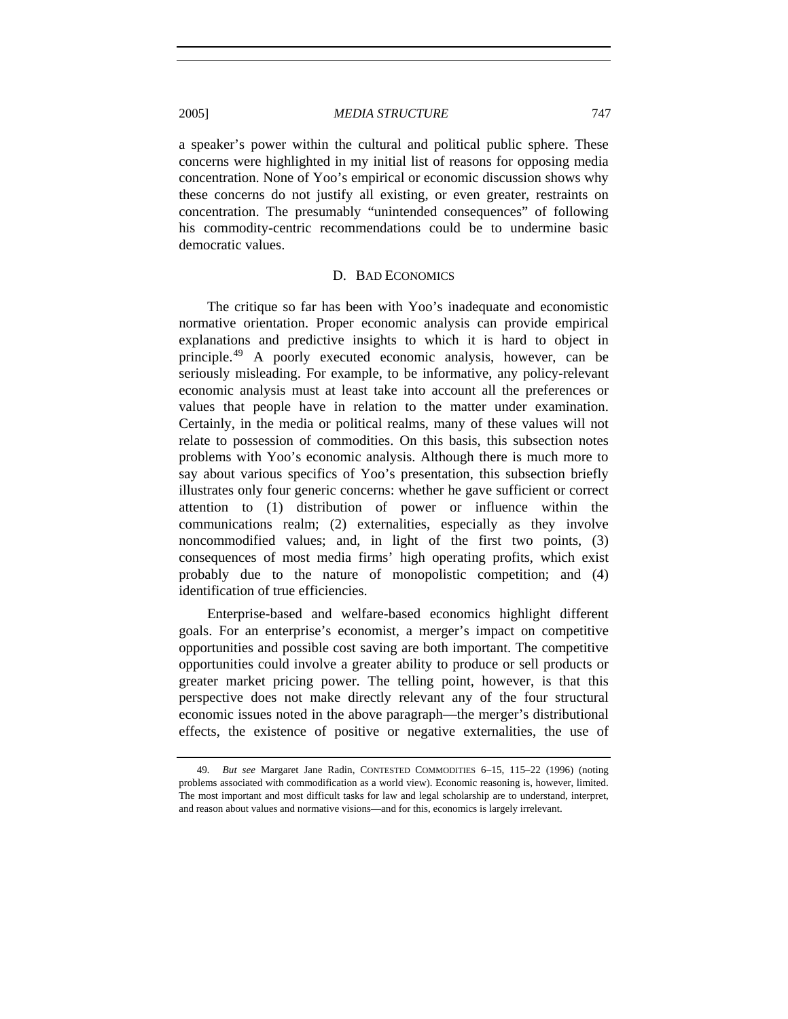a speaker's power within the cultural and political public sphere. These concerns were highlighted in my initial list of reasons for opposing media concentration. None of Yoo's empirical or economic discussion shows why these concerns do not justify all existing, or even greater, restraints on concentration. The presumably "unintended consequences" of following his commodity-centric recommendations could be to undermine basic democratic values.

#### D. BAD ECONOMICS

The critique so far has been with Yoo's inadequate and economistic normative orientation. Proper economic analysis can provide empirical explanations and predictive insights to which it is hard to object in principle.[49](#page-14-0) A poorly executed economic analysis, however, can be seriously misleading. For example, to be informative, any policy-relevant economic analysis must at least take into account all the preferences or values that people have in relation to the matter under examination. Certainly, in the media or political realms, many of these values will not relate to possession of commodities. On this basis, this subsection notes problems with Yoo's economic analysis. Although there is much more to say about various specifics of Yoo's presentation, this subsection briefly illustrates only four generic concerns: whether he gave sufficient or correct attention to (1) distribution of power or influence within the communications realm; (2) externalities, especially as they involve noncommodified values; and, in light of the first two points, (3) consequences of most media firms' high operating profits, which exist probably due to the nature of monopolistic competition; and (4) identification of true efficiencies.

Enterprise-based and welfare-based economics highlight different goals. For an enterprise's economist, a merger's impact on competitive opportunities and possible cost saving are both important. The competitive opportunities could involve a greater ability to produce or sell products or greater market pricing power. The telling point, however, is that this perspective does not make directly relevant any of the four structural economic issues noted in the above paragraph—the merger's distributional effects, the existence of positive or negative externalities, the use of

<span id="page-14-0"></span><sup>49</sup>*. But see* Margaret Jane Radin, CONTESTED COMMODITIES 6–15, 115–22 (1996) (noting problems associated with commodification as a world view). Economic reasoning is, however, limited. The most important and most difficult tasks for law and legal scholarship are to understand, interpret, and reason about values and normative visions—and for this, economics is largely irrelevant.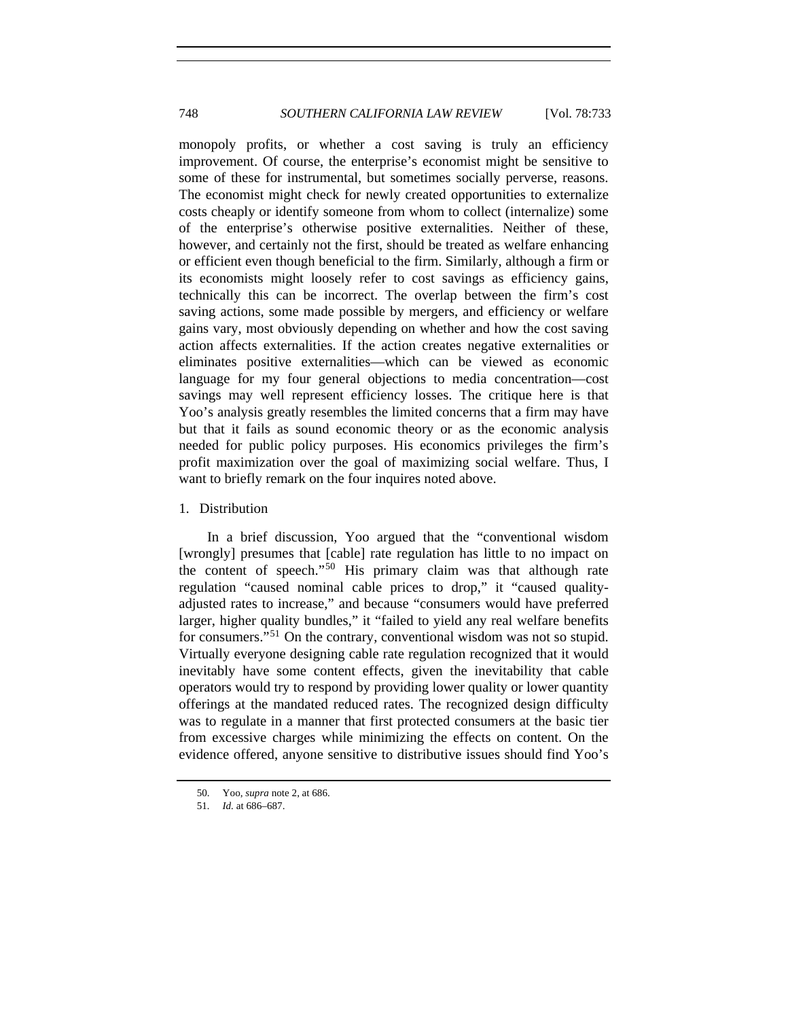monopoly profits, or whether a cost saving is truly an efficiency improvement. Of course, the enterprise's economist might be sensitive to some of these for instrumental, but sometimes socially perverse, reasons. The economist might check for newly created opportunities to externalize costs cheaply or identify someone from whom to collect (internalize) some of the enterprise's otherwise positive externalities. Neither of these, however, and certainly not the first, should be treated as welfare enhancing or efficient even though beneficial to the firm. Similarly, although a firm or its economists might loosely refer to cost savings as efficiency gains, technically this can be incorrect. The overlap between the firm's cost saving actions, some made possible by mergers, and efficiency or welfare gains vary, most obviously depending on whether and how the cost saving action affects externalities. If the action creates negative externalities or eliminates positive externalities—which can be viewed as economic language for my four general objections to media concentration—cost savings may well represent efficiency losses. The critique here is that Yoo's analysis greatly resembles the limited concerns that a firm may have but that it fails as sound economic theory or as the economic analysis needed for public policy purposes. His economics privileges the firm's profit maximization over the goal of maximizing social welfare. Thus, I want to briefly remark on the four inquires noted above.

#### 1. Distribution

In a brief discussion, Yoo argued that the "conventional wisdom [wrongly] presumes that [cable] rate regulation has little to no impact on the content of speech."[50](#page-15-0) His primary claim was that although rate regulation "caused nominal cable prices to drop," it "caused qualityadjusted rates to increase," and because "consumers would have preferred larger, higher quality bundles," it "failed to yield any real welfare benefits for consumers."[51](#page-15-1) On the contrary, conventional wisdom was not so stupid. Virtually everyone designing cable rate regulation recognized that it would inevitably have some content effects, given the inevitability that cable operators would try to respond by providing lower quality or lower quantity offerings at the mandated reduced rates. The recognized design difficulty was to regulate in a manner that first protected consumers at the basic tier from excessive charges while minimizing the effects on content. On the evidence offered, anyone sensitive to distributive issues should find Yoo's

<span id="page-15-0"></span> <sup>50.</sup> Yoo, *supra* note 2, at 686.

<span id="page-15-1"></span><sup>51</sup>*. Id.* at 686–687.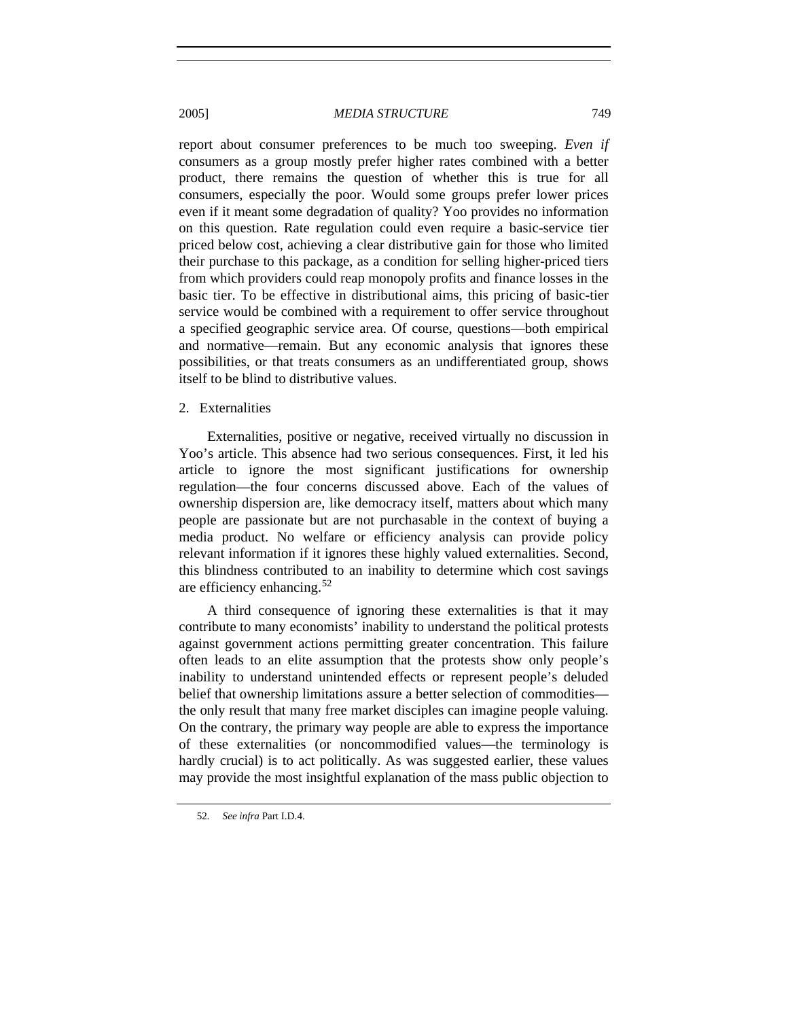report about consumer preferences to be much too sweeping. *Even if* consumers as a group mostly prefer higher rates combined with a better product, there remains the question of whether this is true for all consumers, especially the poor. Would some groups prefer lower prices even if it meant some degradation of quality? Yoo provides no information on this question. Rate regulation could even require a basic-service tier priced below cost, achieving a clear distributive gain for those who limited their purchase to this package, as a condition for selling higher-priced tiers from which providers could reap monopoly profits and finance losses in the basic tier. To be effective in distributional aims, this pricing of basic-tier service would be combined with a requirement to offer service throughout a specified geographic service area. Of course, questions—both empirical and normative—remain. But any economic analysis that ignores these possibilities, or that treats consumers as an undifferentiated group, shows itself to be blind to distributive values.

#### 2. Externalities

Externalities, positive or negative, received virtually no discussion in Yoo's article. This absence had two serious consequences. First, it led his article to ignore the most significant justifications for ownership regulation—the four concerns discussed above. Each of the values of ownership dispersion are, like democracy itself, matters about which many people are passionate but are not purchasable in the context of buying a media product. No welfare or efficiency analysis can provide policy relevant information if it ignores these highly valued externalities. Second, this blindness contributed to an inability to determine which cost savings are efficiency enhancing.[52](#page-16-0)

A third consequence of ignoring these externalities is that it may contribute to many economists' inability to understand the political protests against government actions permitting greater concentration. This failure often leads to an elite assumption that the protests show only people's inability to understand unintended effects or represent people's deluded belief that ownership limitations assure a better selection of commodities the only result that many free market disciples can imagine people valuing. On the contrary, the primary way people are able to express the importance of these externalities (or noncommodified values—the terminology is hardly crucial) is to act politically. As was suggested earlier, these values may provide the most insightful explanation of the mass public objection to

<span id="page-16-0"></span><sup>52</sup>*. See infra* Part I.D.4.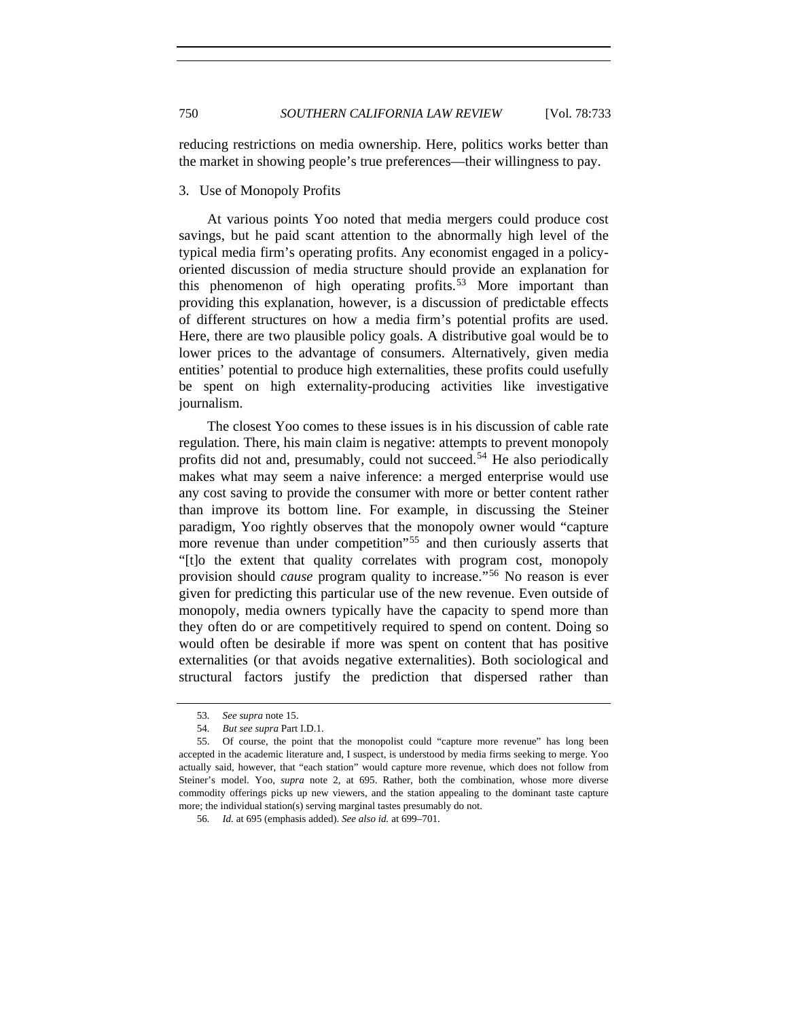reducing restrictions on media ownership. Here, politics works better than the market in showing people's true preferences—their willingness to pay.

#### 3. Use of Monopoly Profits

At various points Yoo noted that media mergers could produce cost savings, but he paid scant attention to the abnormally high level of the typical media firm's operating profits. Any economist engaged in a policyoriented discussion of media structure should provide an explanation for this phenomenon of high operating profits.<sup>[53](#page-17-0)</sup> More important than providing this explanation, however, is a discussion of predictable effects of different structures on how a media firm's potential profits are used. Here, there are two plausible policy goals. A distributive goal would be to lower prices to the advantage of consumers. Alternatively, given media entities' potential to produce high externalities, these profits could usefully be spent on high externality-producing activities like investigative journalism.

The closest Yoo comes to these issues is in his discussion of cable rate regulation. There, his main claim is negative: attempts to prevent monopoly profits did not and, presumably, could not succeed.<sup>[54](#page-17-1)</sup> He also periodically makes what may seem a naive inference: a merged enterprise would use any cost saving to provide the consumer with more or better content rather than improve its bottom line. For example, in discussing the Steiner paradigm, Yoo rightly observes that the monopoly owner would "capture more revenue than under competition"<sup>[55](#page-17-2)</sup> and then curiously asserts that "[t]o the extent that quality correlates with program cost, monopoly provision should *cause* program quality to increase."[56](#page-17-3) No reason is ever given for predicting this particular use of the new revenue. Even outside of monopoly, media owners typically have the capacity to spend more than they often do or are competitively required to spend on content. Doing so would often be desirable if more was spent on content that has positive externalities (or that avoids negative externalities). Both sociological and structural factors justify the prediction that dispersed rather than

<sup>53</sup>*. See supra* note 15.

<sup>54</sup>*. But see supra* Part I.D.1.

<span id="page-17-3"></span><span id="page-17-2"></span><span id="page-17-1"></span><span id="page-17-0"></span> <sup>55.</sup> Of course, the point that the monopolist could "capture more revenue" has long been accepted in the academic literature and, I suspect, is understood by media firms seeking to merge. Yoo actually said, however, that "each station" would capture more revenue, which does not follow from Steiner's model. Yoo, *supra* note 2, at 695. Rather, both the combination, whose more diverse commodity offerings picks up new viewers, and the station appealing to the dominant taste capture more; the individual station(s) serving marginal tastes presumably do not.

<sup>56</sup>*. Id.* at 695 (emphasis added). *See also id.* at 699–701.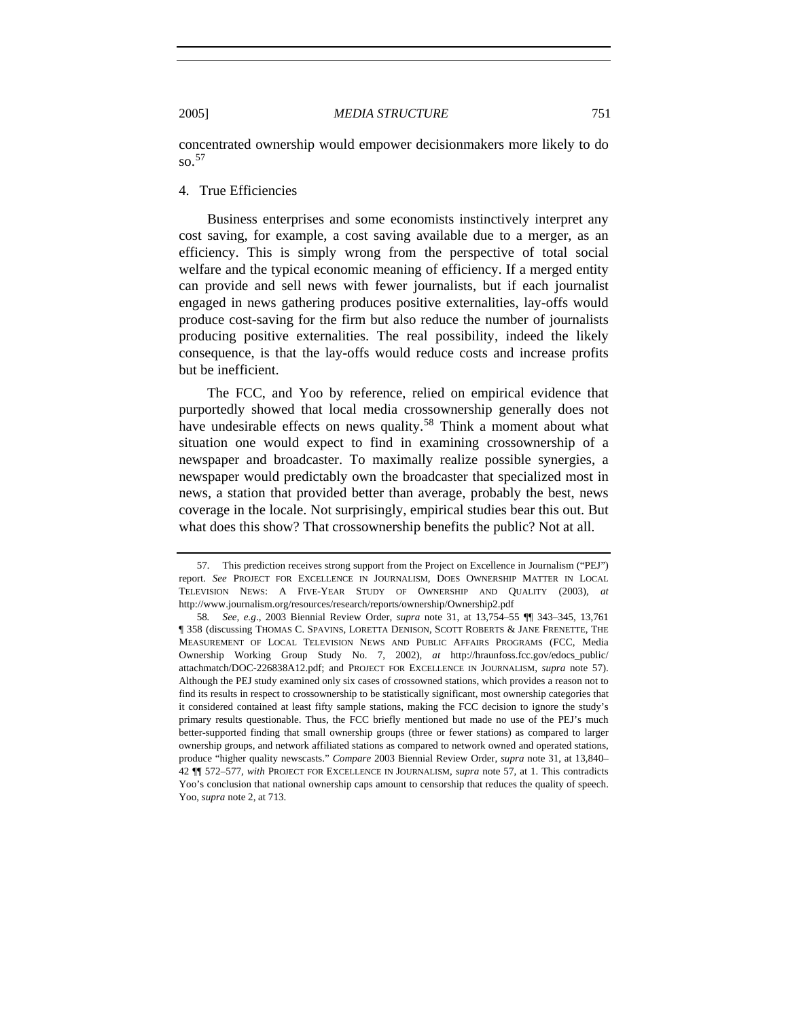concentrated ownership would empower decisionmakers more likely to do so.  $57$ 

4. True Efficiencies

Business enterprises and some economists instinctively interpret any cost saving, for example, a cost saving available due to a merger, as an efficiency. This is simply wrong from the perspective of total social welfare and the typical economic meaning of efficiency. If a merged entity can provide and sell news with fewer journalists, but if each journalist engaged in news gathering produces positive externalities, lay-offs would produce cost-saving for the firm but also reduce the number of journalists producing positive externalities. The real possibility, indeed the likely consequence, is that the lay-offs would reduce costs and increase profits but be inefficient.

The FCC, and Yoo by reference, relied on empirical evidence that purportedly showed that local media crossownership generally does not have undesirable effects on news quality.<sup>[58](#page-18-1)</sup> Think a moment about what situation one would expect to find in examining crossownership of a newspaper and broadcaster. To maximally realize possible synergies, a newspaper would predictably own the broadcaster that specialized most in news, a station that provided better than average, probably the best, news coverage in the locale. Not surprisingly, empirical studies bear this out. But what does this show? That crossownership benefits the public? Not at all.

<span id="page-18-0"></span><sup>57</sup>*.* This prediction receives strong support from the Project on Excellence in Journalism ("PEJ") report. *See* PROJECT FOR EXCELLENCE IN JOURNALISM, DOES OWNERSHIP MATTER IN LOCAL TELEVISION NEWS: A FIVE-YEAR STUDY OF OWNERSHIP AND QUALITY (2003), *at*  http://www.journalism.org/resources/research/reports/ownership/Ownership2.pdf

<span id="page-18-1"></span><sup>58</sup>*. See, e.g*., 2003 Biennial Review Order, *supra* note 31, at 13,754–55 ¶¶ 343–345, 13,761 ¶ 358 (discussing THOMAS C. SPAVINS, LORETTA DENISON, SCOTT ROBERTS & JANE FRENETTE, THE MEASUREMENT OF LOCAL TELEVISION NEWS AND PUBLIC AFFAIRS PROGRAMS (FCC, Media Ownership Working Group Study No. 7, 2002), *at* http://hraunfoss.fcc.gov/edocs\_public/ attachmatch/DOC-226838A12.pdf; and PROJECT FOR EXCELLENCE IN JOURNALISM, *supra* note 57). Although the PEJ study examined only six cases of crossowned stations, which provides a reason not to find its results in respect to crossownership to be statistically significant, most ownership categories that it considered contained at least fifty sample stations, making the FCC decision to ignore the study's primary results questionable. Thus, the FCC briefly mentioned but made no use of the PEJ's much better-supported finding that small ownership groups (three or fewer stations) as compared to larger ownership groups, and network affiliated stations as compared to network owned and operated stations, produce "higher quality newscasts." *Compare* 2003 Biennial Review Order, *supra* note 31, at 13,840– 42 ¶¶ 572–577, *with* PROJECT FOR EXCELLENCE IN JOURNALISM, *supra* note 57, at 1. This contradicts Yoo's conclusion that national ownership caps amount to censorship that reduces the quality of speech. Yoo, *supra* note 2, at 713.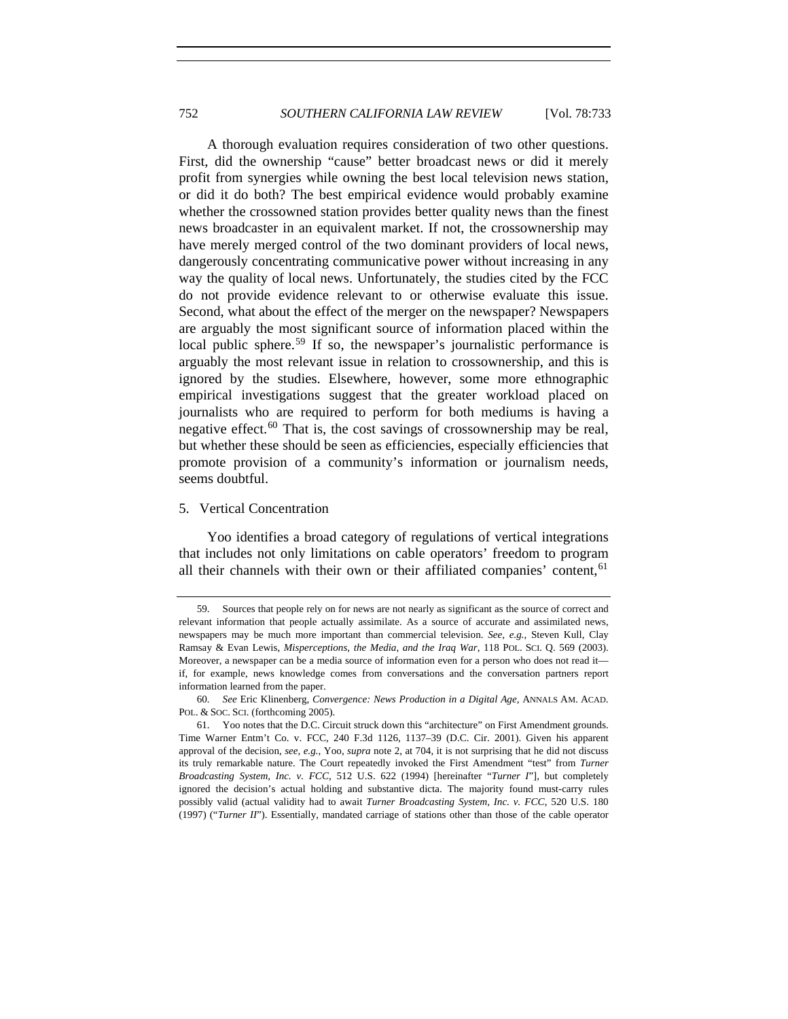A thorough evaluation requires consideration of two other questions. First, did the ownership "cause" better broadcast news or did it merely profit from synergies while owning the best local television news station, or did it do both? The best empirical evidence would probably examine whether the crossowned station provides better quality news than the finest news broadcaster in an equivalent market. If not, the crossownership may have merely merged control of the two dominant providers of local news, dangerously concentrating communicative power without increasing in any way the quality of local news. Unfortunately, the studies cited by the FCC do not provide evidence relevant to or otherwise evaluate this issue. Second, what about the effect of the merger on the newspaper? Newspapers are arguably the most significant source of information placed within the local public sphere.<sup>[59](#page-19-0)</sup> If so, the newspaper's journalistic performance is arguably the most relevant issue in relation to crossownership, and this is ignored by the studies. Elsewhere, however, some more ethnographic empirical investigations suggest that the greater workload placed on journalists who are required to perform for both mediums is having a negative effect.<sup>[60](#page-19-1)</sup> That is, the cost savings of crossownership may be real, but whether these should be seen as efficiencies, especially efficiencies that promote provision of a community's information or journalism needs, seems doubtful.

#### 5. Vertical Concentration

Yoo identifies a broad category of regulations of vertical integrations that includes not only limitations on cable operators' freedom to program all their channels with their own or their affiliated companies' content,<sup>[61](#page-19-2)</sup>

<span id="page-19-0"></span> <sup>59.</sup> Sources that people rely on for news are not nearly as significant as the source of correct and relevant information that people actually assimilate. As a source of accurate and assimilated news, newspapers may be much more important than commercial television. *See, e.g.*, Steven Kull, Clay Ramsay & Evan Lewis, *Misperceptions, the Media, and the Iraq War*, 118 POL. SCI. Q. 569 (2003). Moreover, a newspaper can be a media source of information even for a person who does not read it if, for example, news knowledge comes from conversations and the conversation partners report information learned from the paper.

<span id="page-19-1"></span><sup>60</sup>*. See* Eric Klinenberg, *Convergence: News Production in a Digital Age*, ANNALS AM. ACAD. POL. & SOC. SCI. (forthcoming 2005).

<span id="page-19-2"></span> <sup>61.</sup> Yoo notes that the D.C. Circuit struck down this "architecture" on First Amendment grounds. Time Warner Entm't Co. v. FCC, 240 F.3d 1126, 1137–39 (D.C. Cir. 2001). Given his apparent approval of the decision, *see, e.g.*, Yoo, *supra* note 2, at 704, it is not surprising that he did not discuss its truly remarkable nature. The Court repeatedly invoked the First Amendment "test" from *Turner Broadcasting System, Inc. v. FCC*, 512 U.S. 622 (1994) [hereinafter "*Turner I*"], but completely ignored the decision's actual holding and substantive dicta. The majority found must-carry rules possibly valid (actual validity had to await *Turner Broadcasting System, Inc. v. FCC*, 520 U.S. 180 (1997) ("*Turner II*"). Essentially, mandated carriage of stations other than those of the cable operator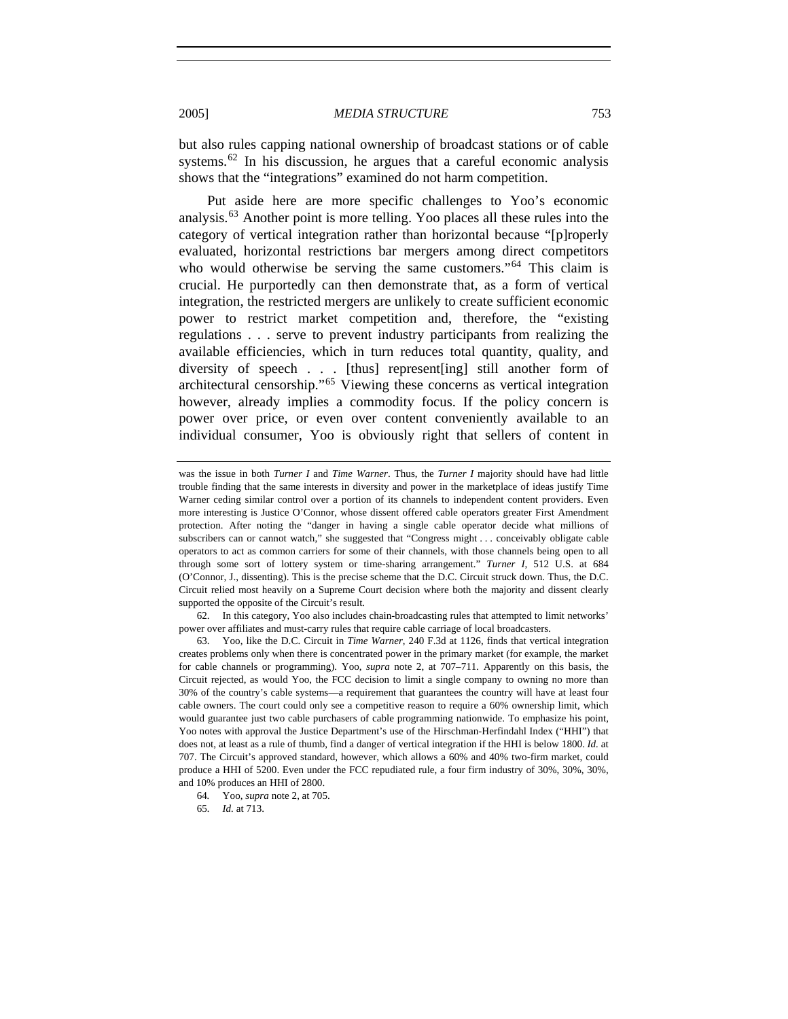but also rules capping national ownership of broadcast stations or of cable systems.<sup>[62](#page-20-0)</sup> In his discussion, he argues that a careful economic analysis shows that the "integrations" examined do not harm competition.

Put aside here are more specific challenges to Yoo's economic analysis.[63](#page-20-1) Another point is more telling. Yoo places all these rules into the category of vertical integration rather than horizontal because "[p]roperly evaluated, horizontal restrictions bar mergers among direct competitors who would otherwise be serving the same customers."<sup>[64](#page-20-2)</sup> This claim is crucial. He purportedly can then demonstrate that, as a form of vertical integration, the restricted mergers are unlikely to create sufficient economic power to restrict market competition and, therefore, the "existing regulations . . . serve to prevent industry participants from realizing the available efficiencies, which in turn reduces total quantity, quality, and diversity of speech . . . [thus] represent[ing] still another form of architectural censorship."[65](#page-20-3) Viewing these concerns as vertical integration however, already implies a commodity focus. If the policy concern is power over price, or even over content conveniently available to an individual consumer, Yoo is obviously right that sellers of content in

<span id="page-20-0"></span> 62. In this category, Yoo also includes chain-broadcasting rules that attempted to limit networks' power over affiliates and must-carry rules that require cable carriage of local broadcasters.

was the issue in both *Turner I* and *Time Warner*. Thus, the *Turner I* majority should have had little trouble finding that the same interests in diversity and power in the marketplace of ideas justify Time Warner ceding similar control over a portion of its channels to independent content providers. Even more interesting is Justice O'Connor, whose dissent offered cable operators greater First Amendment protection. After noting the "danger in having a single cable operator decide what millions of subscribers can or cannot watch," she suggested that "Congress might . . . conceivably obligate cable operators to act as common carriers for some of their channels, with those channels being open to all through some sort of lottery system or time-sharing arrangement." *Turner I*, 512 U.S. at 684 (O'Connor, J., dissenting). This is the precise scheme that the D.C. Circuit struck down. Thus, the D.C. Circuit relied most heavily on a Supreme Court decision where both the majority and dissent clearly supported the opposite of the Circuit's result.

<span id="page-20-1"></span> <sup>63.</sup> Yoo, like the D.C. Circuit in *Time Warner*, 240 F.3d at 1126, finds that vertical integration creates problems only when there is concentrated power in the primary market (for example, the market for cable channels or programming). Yoo, *supra* note 2, at 707–711. Apparently on this basis, the Circuit rejected, as would Yoo, the FCC decision to limit a single company to owning no more than 30% of the country's cable systems—a requirement that guarantees the country will have at least four cable owners. The court could only see a competitive reason to require a 60% ownership limit, which would guarantee just two cable purchasers of cable programming nationwide. To emphasize his point, Yoo notes with approval the Justice Department's use of the Hirschman-Herfindahl Index ("HHI") that does not, at least as a rule of thumb, find a danger of vertical integration if the HHI is below 1800. *Id.* at 707. The Circuit's approved standard, however, which allows a 60% and 40% two-firm market, could produce a HHI of 5200. Even under the FCC repudiated rule, a four firm industry of 30%, 30%, 30%, and 10% produces an HHI of 2800.

<span id="page-20-3"></span><span id="page-20-2"></span><sup>64</sup>*.* Yoo, *supra* note 2, at 705.

<sup>65</sup>*. Id.* at 713.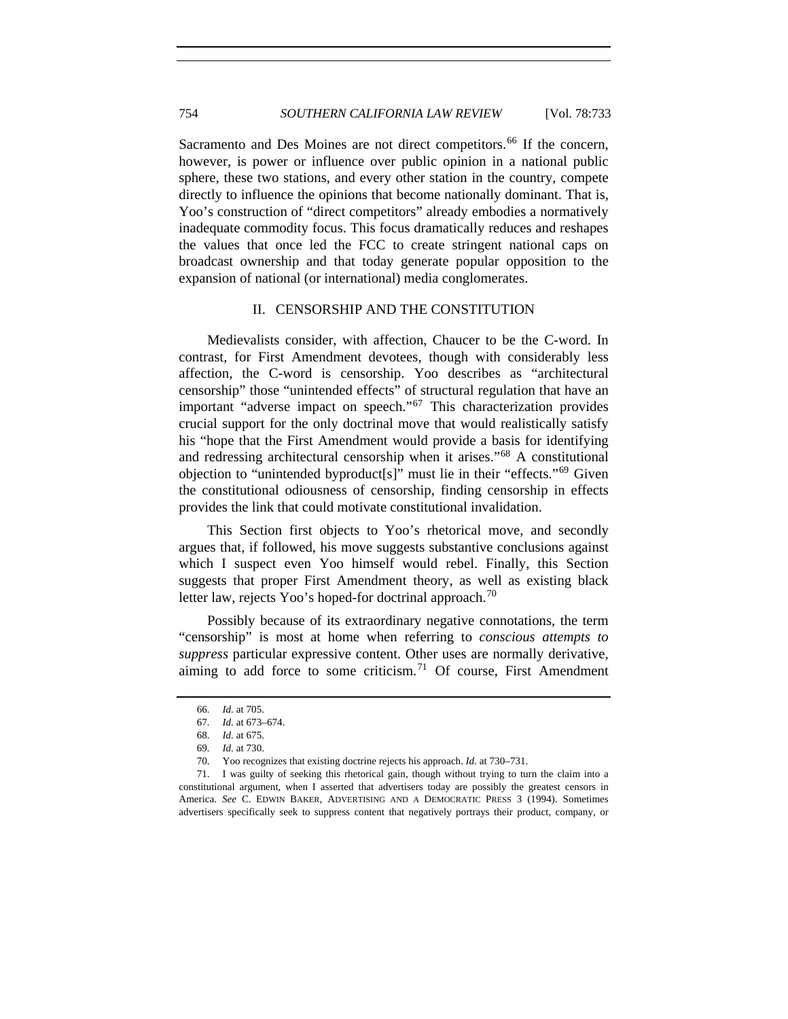Sacramento and Des Moines are not direct competitors.<sup>[66](#page-21-0)</sup> If the concern, however, is power or influence over public opinion in a national public sphere, these two stations, and every other station in the country, compete directly to influence the opinions that become nationally dominant. That is, Yoo's construction of "direct competitors" already embodies a normatively inadequate commodity focus. This focus dramatically reduces and reshapes the values that once led the FCC to create stringent national caps on broadcast ownership and that today generate popular opposition to the expansion of national (or international) media conglomerates.

#### II. CENSORSHIP AND THE CONSTITUTION

Medievalists consider, with affection, Chaucer to be the C-word. In contrast, for First Amendment devotees, though with considerably less affection, the C-word is censorship. Yoo describes as "architectural censorship" those "unintended effects" of structural regulation that have an important "adverse impact on speech."[67](#page-21-1) This characterization provides crucial support for the only doctrinal move that would realistically satisfy his "hope that the First Amendment would provide a basis for identifying and redressing architectural censorship when it arises."[68](#page-21-2) A constitutional objection to "unintended byproduct[s]" must lie in their "effects."[69](#page-21-3) Given the constitutional odiousness of censorship, finding censorship in effects provides the link that could motivate constitutional invalidation.

This Section first objects to Yoo's rhetorical move, and secondly argues that, if followed, his move suggests substantive conclusions against which I suspect even Yoo himself would rebel. Finally, this Section suggests that proper First Amendment theory, as well as existing black letter law, rejects Yoo's hoped-for doctrinal approach.<sup>[70](#page-21-4)</sup>

Possibly because of its extraordinary negative connotations, the term "censorship" is most at home when referring to *conscious attempts to suppress* particular expressive content. Other uses are normally derivative, aiming to add force to some criticism.<sup>[71](#page-21-5)</sup> Of course, First Amendment

<sup>66</sup>*. Id.* at 705.

<sup>67</sup>*. Id.* at 673–674.

<sup>68</sup>*. Id.* at 675.

<sup>69</sup>*. Id.* at 730.

 <sup>70.</sup> Yoo recognizes that existing doctrine rejects his approach. *Id.* at 730–731.

<span id="page-21-5"></span><span id="page-21-4"></span><span id="page-21-3"></span><span id="page-21-2"></span><span id="page-21-1"></span><span id="page-21-0"></span> <sup>71.</sup> I was guilty of seeking this rhetorical gain, though without trying to turn the claim into a constitutional argument, when I asserted that advertisers today are possibly the greatest censors in America. *See* C. EDWIN BAKER, ADVERTISING AND A DEMOCRATIC PRESS 3 (1994). Sometimes advertisers specifically seek to suppress content that negatively portrays their product, company, or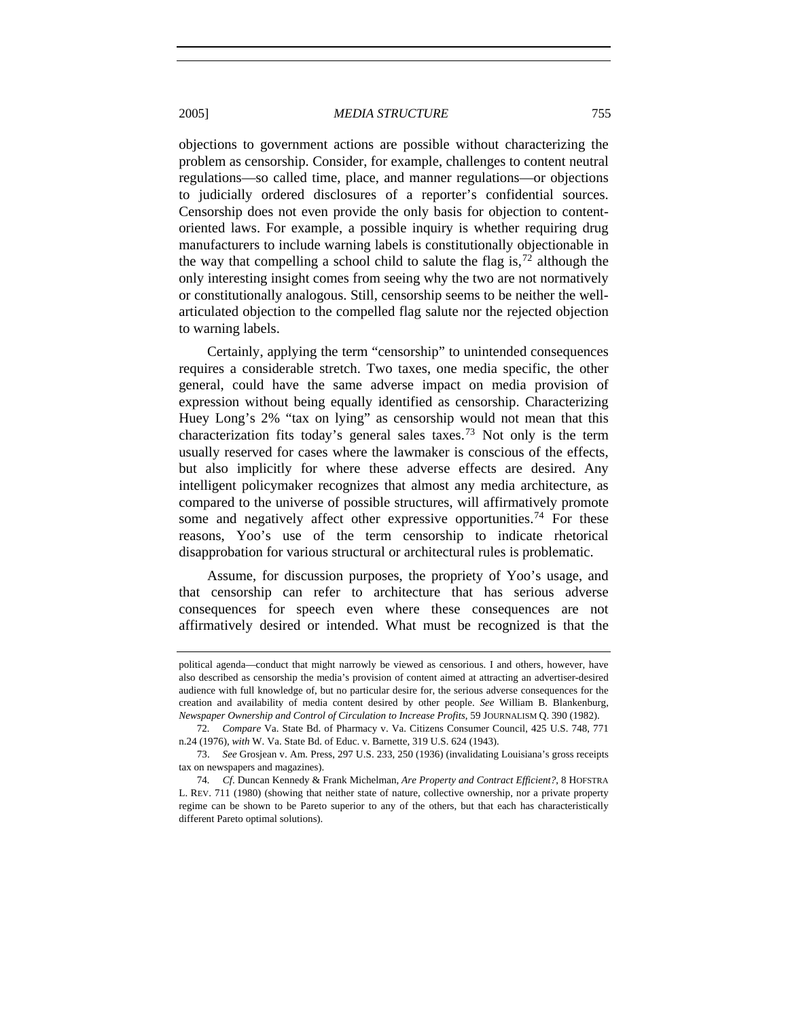objections to government actions are possible without characterizing the problem as censorship. Consider, for example, challenges to content neutral regulations—so called time, place, and manner regulations—or objections to judicially ordered disclosures of a reporter's confidential sources. Censorship does not even provide the only basis for objection to contentoriented laws. For example, a possible inquiry is whether requiring drug manufacturers to include warning labels is constitutionally objectionable in the way that compelling a school child to salute the flag is,  $\frac{72}{1}$  $\frac{72}{1}$  $\frac{72}{1}$  although the only interesting insight comes from seeing why the two are not normatively or constitutionally analogous. Still, censorship seems to be neither the wellarticulated objection to the compelled flag salute nor the rejected objection to warning labels.

Certainly, applying the term "censorship" to unintended consequences requires a considerable stretch. Two taxes, one media specific, the other general, could have the same adverse impact on media provision of expression without being equally identified as censorship. Characterizing Huey Long's 2% "tax on lying" as censorship would not mean that this characterization fits today's general sales taxes.<sup>[73](#page-22-1)</sup> Not only is the term usually reserved for cases where the lawmaker is conscious of the effects, but also implicitly for where these adverse effects are desired. Any intelligent policymaker recognizes that almost any media architecture, as compared to the universe of possible structures, will affirmatively promote some and negatively affect other expressive opportunities.<sup>[74](#page-22-2)</sup> For these reasons, Yoo's use of the term censorship to indicate rhetorical disapprobation for various structural or architectural rules is problematic.

Assume, for discussion purposes, the propriety of Yoo's usage, and that censorship can refer to architecture that has serious adverse consequences for speech even where these consequences are not affirmatively desired or intended. What must be recognized is that the

political agenda—conduct that might narrowly be viewed as censorious. I and others, however, have also described as censorship the media's provision of content aimed at attracting an advertiser-desired audience with full knowledge of, but no particular desire for, the serious adverse consequences for the creation and availability of media content desired by other people. *See* William B. Blankenburg, *Newspaper Ownership and Control of Circulation to Increase Profits*, 59 JOURNALISM Q. 390 (1982).

<span id="page-22-0"></span><sup>72</sup>*. Compare* Va. State Bd. of Pharmacy v. Va. Citizens Consumer Council, 425 U.S. 748, 771 n.24 (1976), *with* W. Va. State Bd. of Educ. v. Barnette, 319 U.S. 624 (1943).

<span id="page-22-1"></span> <sup>73.</sup> *See* Grosjean v. Am. Press, 297 U.S. 233, 250 (1936) (invalidating Louisiana's gross receipts tax on newspapers and magazines).

<span id="page-22-2"></span><sup>74</sup>*. Cf*. Duncan Kennedy & Frank Michelman, *Are Property and Contract Efficient?*, 8 HOFSTRA L. REV. 711 (1980) (showing that neither state of nature, collective ownership, nor a private property regime can be shown to be Pareto superior to any of the others, but that each has characteristically different Pareto optimal solutions).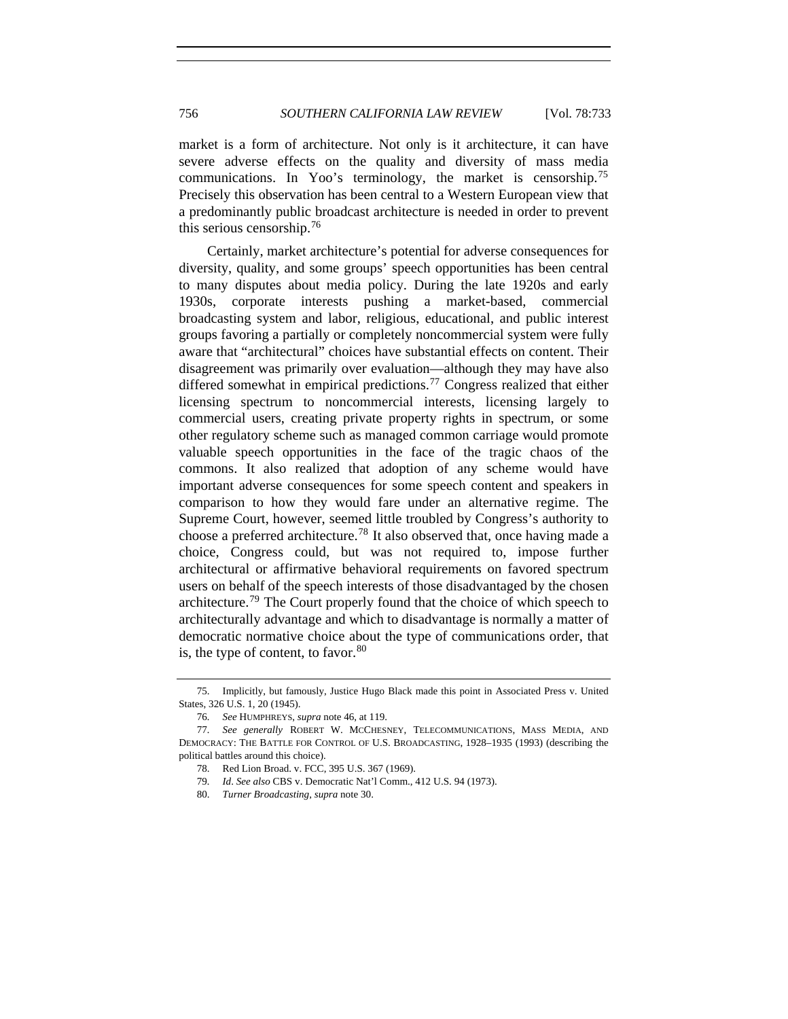market is a form of architecture. Not only is it architecture, it can have severe adverse effects on the quality and diversity of mass media communications. In Yoo's terminology, the market is censorship.[75](#page-23-0) Precisely this observation has been central to a Western European view that a predominantly public broadcast architecture is needed in order to prevent this serious censorship.[76](#page-23-1)

Certainly, market architecture's potential for adverse consequences for diversity, quality, and some groups' speech opportunities has been central to many disputes about media policy. During the late 1920s and early 1930s, corporate interests pushing a market-based, commercial broadcasting system and labor, religious, educational, and public interest groups favoring a partially or completely noncommercial system were fully aware that "architectural" choices have substantial effects on content. Their disagreement was primarily over evaluation—although they may have also differed somewhat in empirical predictions.<sup>[77](#page-23-2)</sup> Congress realized that either licensing spectrum to noncommercial interests, licensing largely to commercial users, creating private property rights in spectrum, or some other regulatory scheme such as managed common carriage would promote valuable speech opportunities in the face of the tragic chaos of the commons. It also realized that adoption of any scheme would have important adverse consequences for some speech content and speakers in comparison to how they would fare under an alternative regime. The Supreme Court, however, seemed little troubled by Congress's authority to choose a preferred architecture.<sup>[78](#page-23-3)</sup> It also observed that, once having made a choice, Congress could, but was not required to, impose further architectural or affirmative behavioral requirements on favored spectrum users on behalf of the speech interests of those disadvantaged by the chosen architecture.[79](#page-23-4) The Court properly found that the choice of which speech to architecturally advantage and which to disadvantage is normally a matter of democratic normative choice about the type of communications order, that is, the type of content, to favor.  $80$ 

<span id="page-23-0"></span> <sup>75.</sup> Implicitly, but famously, Justice Hugo Black made this point in Associated Press v. United States, 326 U.S. 1, 20 (1945).

<sup>76</sup>*. See* HUMPHREYS, *supra* note 46, at 119.

<span id="page-23-5"></span><span id="page-23-4"></span><span id="page-23-3"></span><span id="page-23-2"></span><span id="page-23-1"></span><sup>77</sup>*. See generally* ROBERT W. MCCHESNEY, TELECOMMUNICATIONS, MASS MEDIA, AND DEMOCRACY: THE BATTLE FOR CONTROL OF U.S. BROADCASTING, 1928–1935 (1993) (describing the political battles around this choice).

 <sup>78.</sup> Red Lion Broad. v. FCC, 395 U.S. 367 (1969).

<sup>79</sup>*. Id*. *See also* CBS v. Democratic Nat'l Comm., 412 U.S. 94 (1973).

 <sup>80.</sup> *Turner Broadcasting*, *supra* note 30.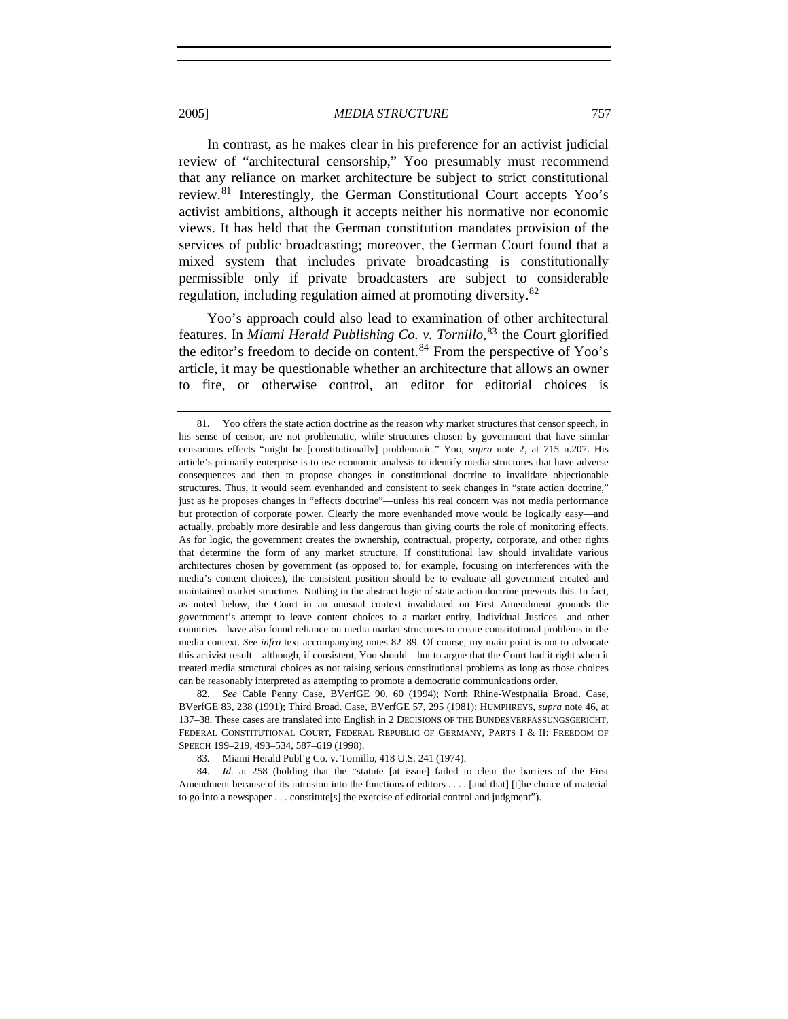In contrast, as he makes clear in his preference for an activist judicial review of "architectural censorship," Yoo presumably must recommend that any reliance on market architecture be subject to strict constitutional review.[81](#page-24-0) Interestingly, the German Constitutional Court accepts Yoo's activist ambitions, although it accepts neither his normative nor economic views. It has held that the German constitution mandates provision of the services of public broadcasting; moreover, the German Court found that a mixed system that includes private broadcasting is constitutionally permissible only if private broadcasters are subject to considerable regulation, including regulation aimed at promoting diversity.<sup>[82](#page-24-1)</sup>

Yoo's approach could also lead to examination of other architectural features. In *Miami Herald Publishing Co. v. Tornillo*, [83](#page-24-2) the Court glorified the editor's freedom to decide on content. $84$  From the perspective of Yoo's article, it may be questionable whether an architecture that allows an owner to fire, or otherwise control, an editor for editorial choices is

83. Miami Herald Publ'g Co. v. Tornillo, 418 U.S. 241 (1974).

<span id="page-24-3"></span><span id="page-24-2"></span>84. *Id.* at 258 (holding that the "statute [at issue] failed to clear the barriers of the First Amendment because of its intrusion into the functions of editors . . . . [and that] [t]he choice of material to go into a newspaper . . . constitute[s] the exercise of editorial control and judgment").

<span id="page-24-0"></span> <sup>81.</sup> Yoo offers the state action doctrine as the reason why market structures that censor speech, in his sense of censor, are not problematic, while structures chosen by government that have similar censorious effects "might be [constitutionally] problematic." Yoo, *supra* note 2, at 715 n.207. His article's primarily enterprise is to use economic analysis to identify media structures that have adverse consequences and then to propose changes in constitutional doctrine to invalidate objectionable structures. Thus, it would seem evenhanded and consistent to seek changes in "state action doctrine," just as he proposes changes in "effects doctrine"—unless his real concern was not media performance but protection of corporate power. Clearly the more evenhanded move would be logically easy—and actually, probably more desirable and less dangerous than giving courts the role of monitoring effects. As for logic, the government creates the ownership, contractual, property, corporate, and other rights that determine the form of any market structure. If constitutional law should invalidate various architectures chosen by government (as opposed to, for example, focusing on interferences with the media's content choices), the consistent position should be to evaluate all government created and maintained market structures. Nothing in the abstract logic of state action doctrine prevents this. In fact, as noted below, the Court in an unusual context invalidated on First Amendment grounds the government's attempt to leave content choices to a market entity. Individual Justices—and other countries—have also found reliance on media market structures to create constitutional problems in the media context. *See infra* text accompanying notes 82–89. Of course, my main point is not to advocate this activist result—although, if consistent, Yoo should—but to argue that the Court had it right when it treated media structural choices as not raising serious constitutional problems as long as those choices can be reasonably interpreted as attempting to promote a democratic communications order.

<span id="page-24-1"></span> <sup>82.</sup> *See* Cable Penny Case, BVerfGE 90, 60 (1994); North Rhine-Westphalia Broad. Case, BVerfGE 83, 238 (1991); Third Broad. Case, BVerfGE 57, 295 (1981); HUMPHREYS, *supra* note 46, at 137–38. These cases are translated into English in 2 DECISIONS OF THE BUNDESVERFASSUNGSGERICHT, FEDERAL CONSTITUTIONAL COURT, FEDERAL REPUBLIC OF GERMANY, PARTS I & II: FREEDOM OF SPEECH 199–219, 493–534, 587–619 (1998).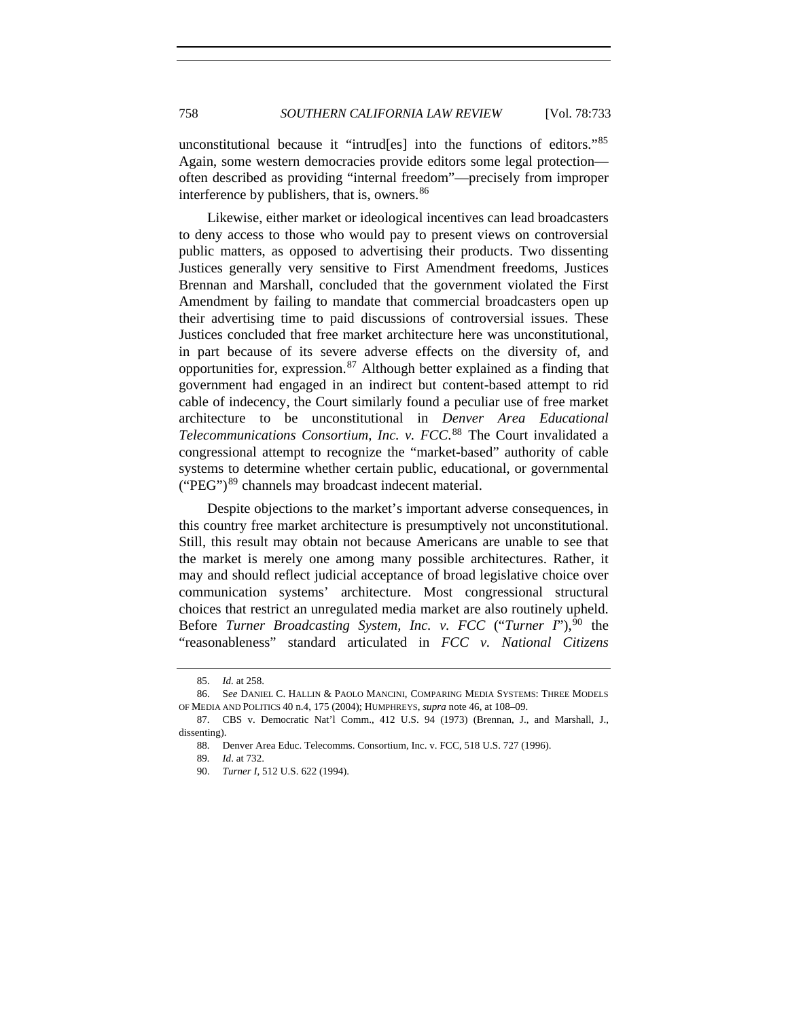unconstitutional because it "intrud[es] into the functions of editors."[85](#page-25-0) Again, some western democracies provide editors some legal protection often described as providing "internal freedom"—precisely from improper interference by publishers, that is, owners.<sup>[86](#page-25-1)</sup>

Likewise, either market or ideological incentives can lead broadcasters to deny access to those who would pay to present views on controversial public matters, as opposed to advertising their products. Two dissenting Justices generally very sensitive to First Amendment freedoms, Justices Brennan and Marshall, concluded that the government violated the First Amendment by failing to mandate that commercial broadcasters open up their advertising time to paid discussions of controversial issues. These Justices concluded that free market architecture here was unconstitutional, in part because of its severe adverse effects on the diversity of, and opportunities for, expression. $87$  Although better explained as a finding that government had engaged in an indirect but content-based attempt to rid cable of indecency, the Court similarly found a peculiar use of free market architecture to be unconstitutional in *Denver Area Educational Telecommunications Consortium, Inc. v. FCC*. [88](#page-25-3) The Court invalidated a congressional attempt to recognize the "market-based" authority of cable systems to determine whether certain public, educational, or governmental  $("PEG")^{89}$  $("PEG")^{89}$  $("PEG")^{89}$  channels may broadcast indecent material.

Despite objections to the market's important adverse consequences, in this country free market architecture is presumptively not unconstitutional. Still, this result may obtain not because Americans are unable to see that the market is merely one among many possible architectures. Rather, it may and should reflect judicial acceptance of broad legislative choice over communication systems' architecture. Most congressional structural choices that restrict an unregulated media market are also routinely upheld. Before *Turner Broadcasting System, Inc. v. FCC* ("*Turner I*"),<sup>[90](#page-25-5)</sup> the "reasonableness" standard articulated in *FCC v. National Citizens* 

 <sup>85.</sup> *Id.* at 258.

<span id="page-25-1"></span><span id="page-25-0"></span> <sup>86.</sup> S*ee* DANIEL C. HALLIN & PAOLO MANCINI, COMPARING MEDIA SYSTEMS: THREE MODELS OF MEDIA AND POLITICS 40 n.4, 175 (2004); HUMPHREYS, *supra* note 46, at 108–09.

<span id="page-25-5"></span><span id="page-25-4"></span><span id="page-25-3"></span><span id="page-25-2"></span> <sup>87.</sup> CBS v. Democratic Nat'l Comm., 412 U.S. 94 (1973) (Brennan, J., and Marshall, J., dissenting).

 <sup>88.</sup> Denver Area Educ. Telecomms. Consortium, Inc. v. FCC, 518 U.S. 727 (1996).

<sup>89</sup>*. Id*. at 732.

 <sup>90.</sup> *Turner I*, 512 U.S. 622 (1994).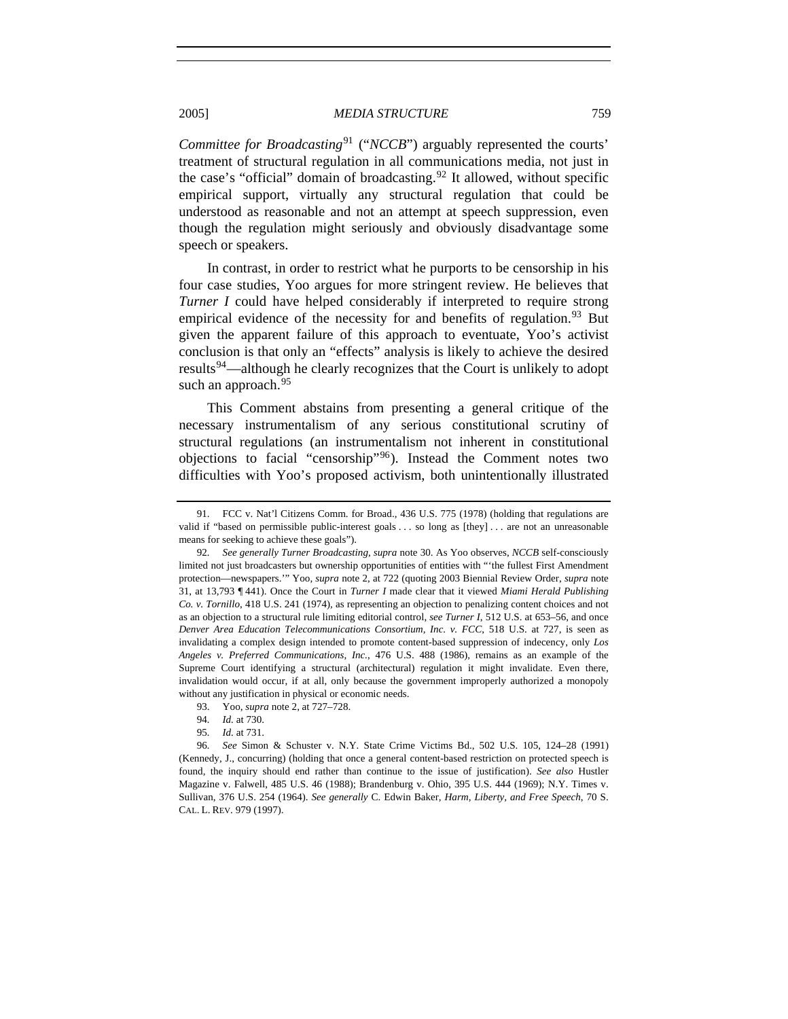*Committee for Broadcasting*<sup>[91](#page-26-0)</sup> ("*NCCB*") arguably represented the courts' treatment of structural regulation in all communications media, not just in the case's "official" domain of broadcasting.<sup>[92](#page-26-1)</sup> It allowed, without specific empirical support, virtually any structural regulation that could be understood as reasonable and not an attempt at speech suppression, even though the regulation might seriously and obviously disadvantage some speech or speakers.

In contrast, in order to restrict what he purports to be censorship in his four case studies, Yoo argues for more stringent review. He believes that *Turner I* could have helped considerably if interpreted to require strong empirical evidence of the necessity for and benefits of regulation.<sup>[93](#page-26-2)</sup> But given the apparent failure of this approach to eventuate, Yoo's activist conclusion is that only an "effects" analysis is likely to achieve the desired results<sup>[94](#page-26-3)</sup>—although he clearly recognizes that the Court is unlikely to adopt such an approach.<sup>[95](#page-26-4)</sup>

This Comment abstains from presenting a general critique of the necessary instrumentalism of any serious constitutional scrutiny of structural regulations (an instrumentalism not inherent in constitutional objections to facial "censorship"[96](#page-26-5)). Instead the Comment notes two difficulties with Yoo's proposed activism, both unintentionally illustrated

95*. Id.* at 731.

<span id="page-26-0"></span> <sup>91.</sup> FCC v. Nat'l Citizens Comm. for Broad., 436 U.S. 775 (1978) (holding that regulations are valid if "based on permissible public-interest goals . . . so long as [they] . . . are not an unreasonable means for seeking to achieve these goals").

<span id="page-26-1"></span><sup>92</sup>*. See generally Turner Broadcasting*, *supra* note 30. As Yoo observes, *NCCB* self-consciously limited not just broadcasters but ownership opportunities of entities with "'the fullest First Amendment protection—newspapers.'" Yoo, *supra* note 2, at 722 (quoting 2003 Biennial Review Order, *supra* note 31, at 13,793 ¶ 441). Once the Court in *Turner I* made clear that it viewed *Miami Herald Publishing Co. v. Tornillo*, 418 U.S. 241 (1974), as representing an objection to penalizing content choices and not as an objection to a structural rule limiting editorial control, *see Turner I*, 512 U.S. at 653–56, and once *Denver Area Education Telecommunications Consortium, Inc. v. FCC*, 518 U.S. at 727, is seen as invalidating a complex design intended to promote content-based suppression of indecency, only *Los Angeles v. Preferred Communications, Inc.*, 476 U.S. 488 (1986), remains as an example of the Supreme Court identifying a structural (architectural) regulation it might invalidate. Even there, invalidation would occur, if at all, only because the government improperly authorized a monopoly without any justification in physical or economic needs.

 <sup>93.</sup> Yoo, *supra* note 2, at 727–728.

<sup>94</sup>*. Id.* at 730.

<span id="page-26-5"></span><span id="page-26-4"></span><span id="page-26-3"></span><span id="page-26-2"></span><sup>96</sup>*. See* Simon & Schuster v. N.Y. State Crime Victims Bd., 502 U.S. 105, 124–28 (1991) (Kennedy, J., concurring) (holding that once a general content-based restriction on protected speech is found, the inquiry should end rather than continue to the issue of justification). *See also* Hustler Magazine v. Falwell, 485 U.S. 46 (1988); Brandenburg v. Ohio, 395 U.S. 444 (1969); N.Y. Times v. Sullivan, 376 U.S. 254 (1964). *See generally* C. Edwin Baker, *Harm, Liberty, and Free Speech*, 70 S. CAL. L. REV. 979 (1997).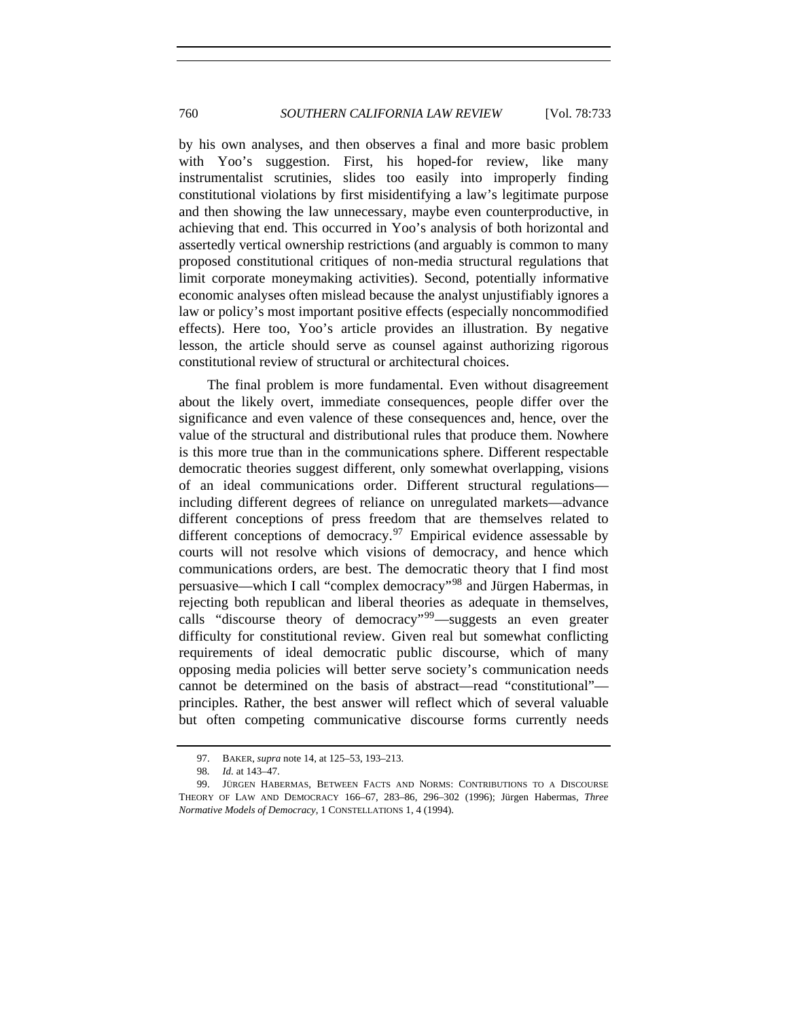by his own analyses, and then observes a final and more basic problem with Yoo's suggestion. First, his hoped-for review, like many instrumentalist scrutinies, slides too easily into improperly finding constitutional violations by first misidentifying a law's legitimate purpose and then showing the law unnecessary, maybe even counterproductive, in achieving that end. This occurred in Yoo's analysis of both horizontal and assertedly vertical ownership restrictions (and arguably is common to many proposed constitutional critiques of non-media structural regulations that limit corporate moneymaking activities). Second, potentially informative economic analyses often mislead because the analyst unjustifiably ignores a law or policy's most important positive effects (especially noncommodified effects). Here too, Yoo's article provides an illustration. By negative lesson, the article should serve as counsel against authorizing rigorous constitutional review of structural or architectural choices.

The final problem is more fundamental. Even without disagreement about the likely overt, immediate consequences, people differ over the significance and even valence of these consequences and, hence, over the value of the structural and distributional rules that produce them. Nowhere is this more true than in the communications sphere. Different respectable democratic theories suggest different, only somewhat overlapping, visions of an ideal communications order. Different structural regulations including different degrees of reliance on unregulated markets—advance different conceptions of press freedom that are themselves related to different conceptions of democracy.<sup>[97](#page-27-0)</sup> Empirical evidence assessable by courts will not resolve which visions of democracy, and hence which communications orders, are best. The democratic theory that I find most persuasive—which I call "complex democracy"[98](#page-27-1) and Jürgen Habermas, in rejecting both republican and liberal theories as adequate in themselves, calls "discourse theory of democracy"<sup>[99](#page-27-2)</sup>—suggests an even greater difficulty for constitutional review. Given real but somewhat conflicting requirements of ideal democratic public discourse, which of many opposing media policies will better serve society's communication needs cannot be determined on the basis of abstract—read "constitutional" principles. Rather, the best answer will reflect which of several valuable but often competing communicative discourse forms currently needs

 <sup>97.</sup> BAKER, *supra* note 14, at 125–53, 193–213.

<sup>98</sup>*. Id.* at 143–47.

<span id="page-27-2"></span><span id="page-27-1"></span><span id="page-27-0"></span> <sup>99.</sup> JÜRGEN HABERMAS, BETWEEN FACTS AND NORMS: CONTRIBUTIONS TO A DISCOURSE THEORY OF LAW AND DEMOCRACY 166–67, 283–86, 296–302 (1996); Jürgen Habermas, *Three Normative Models of Democracy*, 1 CONSTELLATIONS 1, 4 (1994).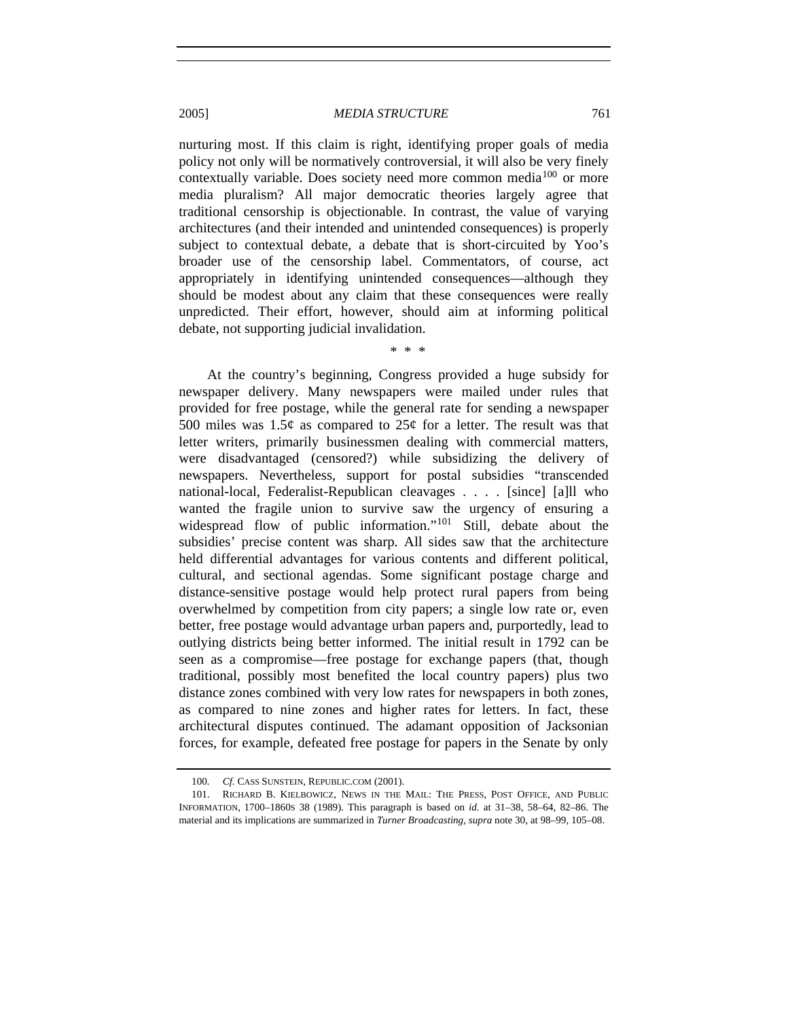nurturing most. If this claim is right, identifying proper goals of media policy not only will be normatively controversial, it will also be very finely contextually variable. Does society need more common media<sup>[100](#page-28-0)</sup> or more media pluralism? All major democratic theories largely agree that traditional censorship is objectionable. In contrast, the value of varying architectures (and their intended and unintended consequences) is properly subject to contextual debate, a debate that is short-circuited by Yoo's broader use of the censorship label. Commentators, of course, act appropriately in identifying unintended consequences—although they should be modest about any claim that these consequences were really unpredicted. Their effort, however, should aim at informing political debate, not supporting judicial invalidation.

\* \* \*

At the country's beginning, Congress provided a huge subsidy for newspaper delivery. Many newspapers were mailed under rules that provided for free postage, while the general rate for sending a newspaper 500 miles was 1.5 $\phi$  as compared to 25 $\phi$  for a letter. The result was that letter writers, primarily businessmen dealing with commercial matters, were disadvantaged (censored?) while subsidizing the delivery of newspapers. Nevertheless, support for postal subsidies "transcended national-local, Federalist-Republican cleavages . . . . [since] [a]ll who wanted the fragile union to survive saw the urgency of ensuring a widespread flow of public information."<sup>[101](#page-28-1)</sup> Still, debate about the subsidies' precise content was sharp. All sides saw that the architecture held differential advantages for various contents and different political, cultural, and sectional agendas. Some significant postage charge and distance-sensitive postage would help protect rural papers from being overwhelmed by competition from city papers; a single low rate or, even better, free postage would advantage urban papers and, purportedly, lead to outlying districts being better informed. The initial result in 1792 can be seen as a compromise—free postage for exchange papers (that, though traditional, possibly most benefited the local country papers) plus two distance zones combined with very low rates for newspapers in both zones, as compared to nine zones and higher rates for letters. In fact, these architectural disputes continued. The adamant opposition of Jacksonian forces, for example, defeated free postage for papers in the Senate by only

<sup>100</sup>*. Cf.* CASS SUNSTEIN, REPUBLIC.COM (2001).

<span id="page-28-1"></span><span id="page-28-0"></span> <sup>101.</sup> RICHARD B. KIELBOWICZ, NEWS IN THE MAIL: THE PRESS, POST OFFICE, AND PUBLIC INFORMATION, 1700–1860S 38 (1989). This paragraph is based on *id.* at 31–38, 58–64, 82–86. The material and its implications are summarized in *Turner Broadcasting*, *supra* note 30, at 98–99, 105–08.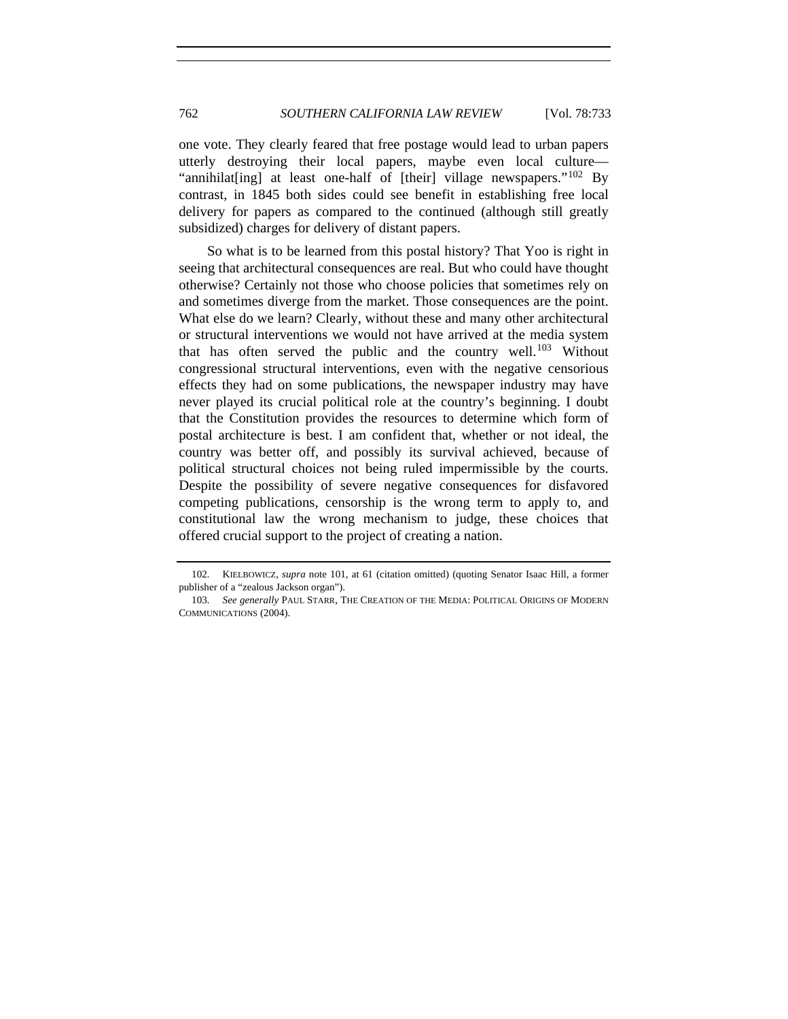one vote. They clearly feared that free postage would lead to urban papers utterly destroying their local papers, maybe even local culture— "annihilat [ing] at least one-half of [their] village newspapers."<sup>[102](#page-29-0)</sup> By contrast, in 1845 both sides could see benefit in establishing free local delivery for papers as compared to the continued (although still greatly subsidized) charges for delivery of distant papers.

So what is to be learned from this postal history? That Yoo is right in seeing that architectural consequences are real. But who could have thought otherwise? Certainly not those who choose policies that sometimes rely on and sometimes diverge from the market. Those consequences are the point. What else do we learn? Clearly, without these and many other architectural or structural interventions we would not have arrived at the media system that has often served the public and the country well.<sup>[103](#page-29-1)</sup> Without congressional structural interventions, even with the negative censorious effects they had on some publications, the newspaper industry may have never played its crucial political role at the country's beginning. I doubt that the Constitution provides the resources to determine which form of postal architecture is best. I am confident that, whether or not ideal, the country was better off, and possibly its survival achieved, because of political structural choices not being ruled impermissible by the courts. Despite the possibility of severe negative consequences for disfavored competing publications, censorship is the wrong term to apply to, and constitutional law the wrong mechanism to judge, these choices that offered crucial support to the project of creating a nation.

<span id="page-29-0"></span><sup>102</sup>*.* KIELBOWICZ, *supra* note 101, at 61 (citation omitted) (quoting Senator Isaac Hill, a former publisher of a "zealous Jackson organ").

<span id="page-29-1"></span><sup>103</sup>*. See generally* PAUL STARR, THE CREATION OF THE MEDIA: POLITICAL ORIGINS OF MODERN COMMUNICATIONS (2004).